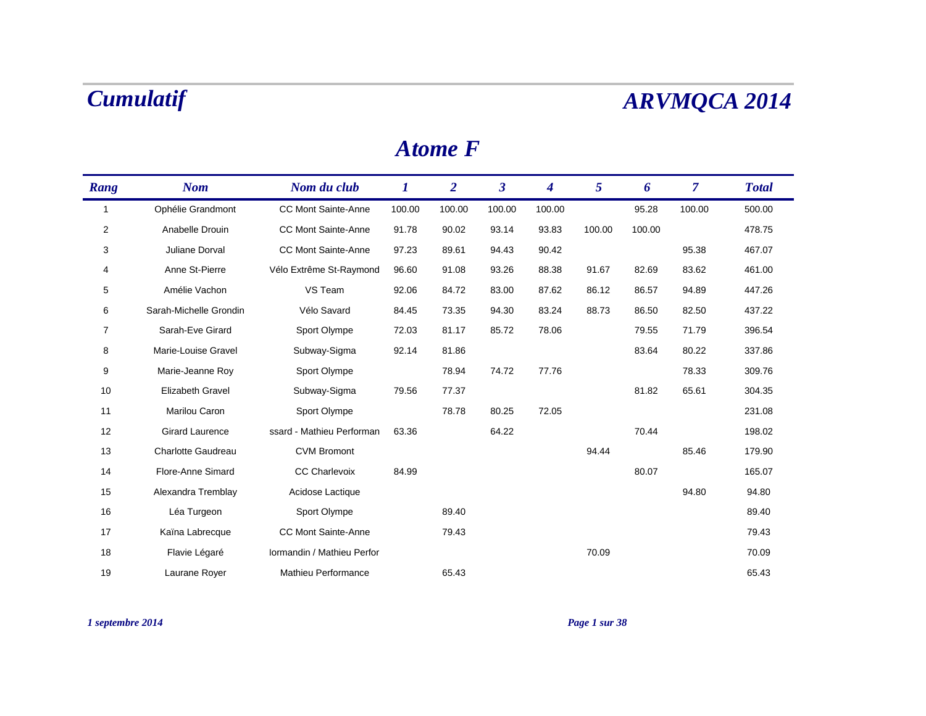### *Atome F*

| Rang           | <b>Nom</b>              | Nom du club                | $\bm{l}$ | $\overline{2}$ | $\mathbf{3}$ | $\boldsymbol{4}$ | $\mathfrak{S}$ | 6      | $\overline{7}$ | <b>Total</b> |
|----------------|-------------------------|----------------------------|----------|----------------|--------------|------------------|----------------|--------|----------------|--------------|
| $\mathbf{1}$   | Ophélie Grandmont       | <b>CC Mont Sainte-Anne</b> | 100.00   | 100.00         | 100.00       | 100.00           |                | 95.28  | 100.00         | 500.00       |
| $\overline{2}$ | Anabelle Drouin         | <b>CC Mont Sainte-Anne</b> | 91.78    | 90.02          | 93.14        | 93.83            | 100.00         | 100.00 |                | 478.75       |
| 3              | Juliane Dorval          | <b>CC Mont Sainte-Anne</b> | 97.23    | 89.61          | 94.43        | 90.42            |                |        | 95.38          | 467.07       |
| 4              | Anne St-Pierre          | Vélo Extrême St-Raymond    | 96.60    | 91.08          | 93.26        | 88.38            | 91.67          | 82.69  | 83.62          | 461.00       |
| 5              | Amélie Vachon           | VS Team                    | 92.06    | 84.72          | 83.00        | 87.62            | 86.12          | 86.57  | 94.89          | 447.26       |
| 6              | Sarah-Michelle Grondin  | Vélo Savard                | 84.45    | 73.35          | 94.30        | 83.24            | 88.73          | 86.50  | 82.50          | 437.22       |
| 7              | Sarah-Eve Girard        | Sport Olympe               | 72.03    | 81.17          | 85.72        | 78.06            |                | 79.55  | 71.79          | 396.54       |
| 8              | Marie-Louise Gravel     | Subway-Sigma               | 92.14    | 81.86          |              |                  |                | 83.64  | 80.22          | 337.86       |
| 9              | Marie-Jeanne Roy        | Sport Olympe               |          | 78.94          | 74.72        | 77.76            |                |        | 78.33          | 309.76       |
| 10             | <b>Elizabeth Gravel</b> | Subway-Sigma               | 79.56    | 77.37          |              |                  |                | 81.82  | 65.61          | 304.35       |
| 11             | Marilou Caron           | Sport Olympe               |          | 78.78          | 80.25        | 72.05            |                |        |                | 231.08       |
| 12             | <b>Girard Laurence</b>  | ssard - Mathieu Performan  | 63.36    |                | 64.22        |                  |                | 70.44  |                | 198.02       |
| 13             | Charlotte Gaudreau      | <b>CVM Bromont</b>         |          |                |              |                  | 94.44          |        | 85.46          | 179.90       |
| 14             | Flore-Anne Simard       | <b>CC Charlevoix</b>       | 84.99    |                |              |                  |                | 80.07  |                | 165.07       |
| 15             | Alexandra Tremblay      | Acidose Lactique           |          |                |              |                  |                |        | 94.80          | 94.80        |
| 16             | Léa Turgeon             | Sport Olympe               |          | 89.40          |              |                  |                |        |                | 89.40        |
| 17             | Kaïna Labrecque         | <b>CC Mont Sainte-Anne</b> |          | 79.43          |              |                  |                |        |                | 79.43        |
| 18             | Flavie Légaré           | Iormandin / Mathieu Perfor |          |                |              |                  | 70.09          |        |                | 70.09        |
| 19             | Laurane Royer           | Mathieu Performance        |          | 65.43          |              |                  |                |        |                | 65.43        |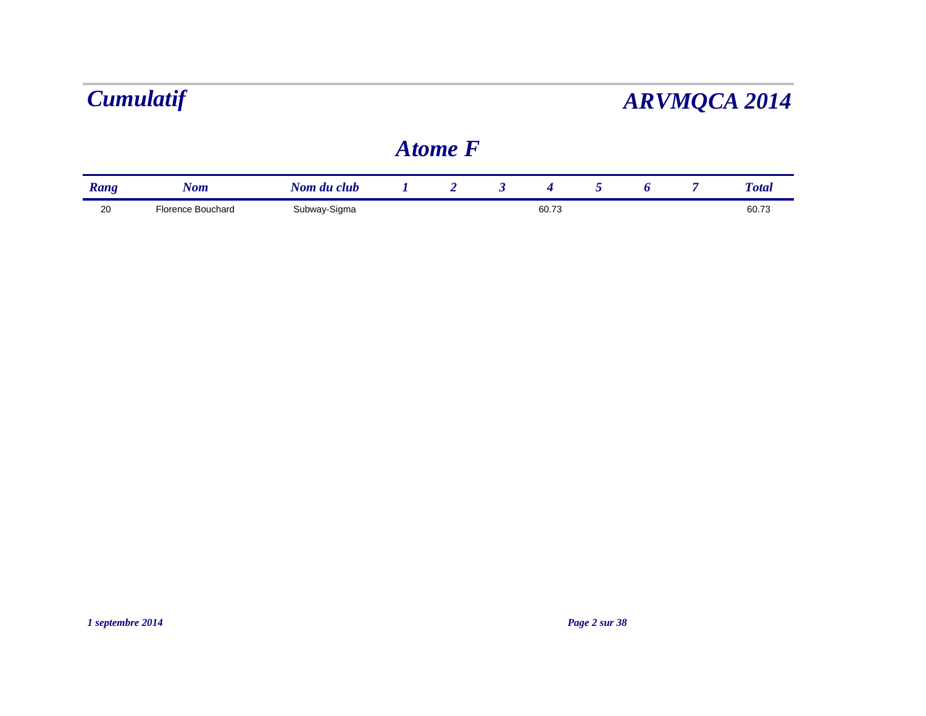|      |                   |              | <b>Atome F</b> |       |  |              |
|------|-------------------|--------------|----------------|-------|--|--------------|
| Rang | Nom               | Nom du club  |                |       |  | <b>Total</b> |
| 20   | Florence Bouchard | Subway-Sigma |                | 60.73 |  | 60.73        |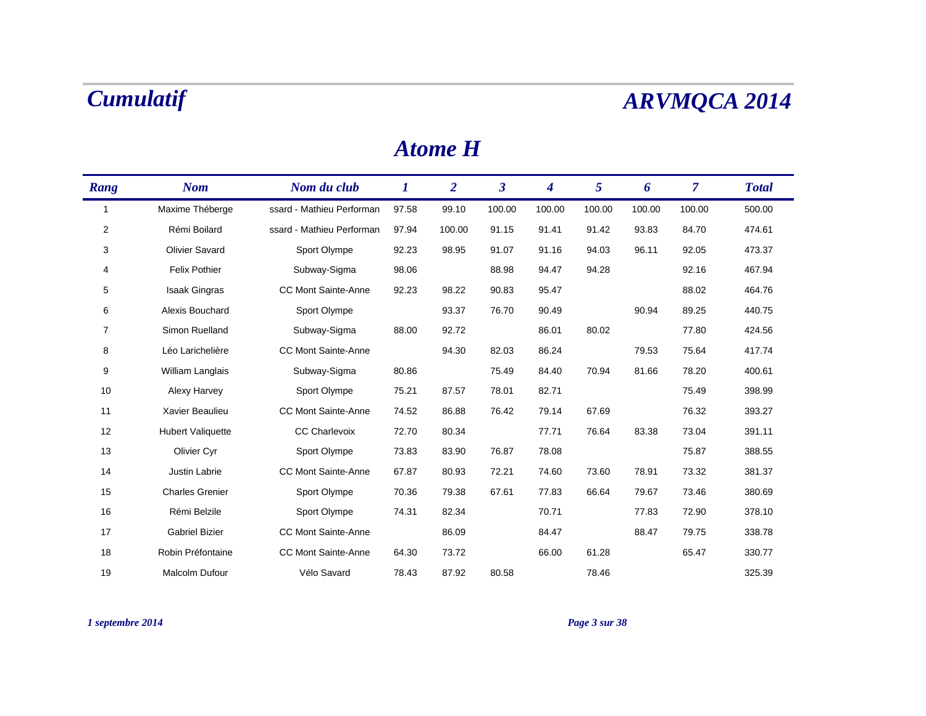### *Atome H*

| Rang           | <b>Nom</b>               | Nom du club                | $\bm{l}$ | $\overline{2}$ | $\boldsymbol{\beta}$ | 4      | 5      | 6      | $\overline{7}$ | <b>Total</b> |
|----------------|--------------------------|----------------------------|----------|----------------|----------------------|--------|--------|--------|----------------|--------------|
| $\mathbf 1$    | Maxime Théberge          | ssard - Mathieu Performan  | 97.58    | 99.10          | 100.00               | 100.00 | 100.00 | 100.00 | 100.00         | 500.00       |
| $\overline{2}$ | Rémi Boilard             | ssard - Mathieu Performan  | 97.94    | 100.00         | 91.15                | 91.41  | 91.42  | 93.83  | 84.70          | 474.61       |
| 3              | <b>Olivier Savard</b>    | Sport Olympe               | 92.23    | 98.95          | 91.07                | 91.16  | 94.03  | 96.11  | 92.05          | 473.37       |
| 4              | <b>Felix Pothier</b>     | Subway-Sigma               | 98.06    |                | 88.98                | 94.47  | 94.28  |        | 92.16          | 467.94       |
| 5              | <b>Isaak Gingras</b>     | <b>CC Mont Sainte-Anne</b> | 92.23    | 98.22          | 90.83                | 95.47  |        |        | 88.02          | 464.76       |
| 6              | Alexis Bouchard          | Sport Olympe               |          | 93.37          | 76.70                | 90.49  |        | 90.94  | 89.25          | 440.75       |
| 7              | Simon Ruelland           | Subway-Sigma               | 88.00    | 92.72          |                      | 86.01  | 80.02  |        | 77.80          | 424.56       |
| 8              | Léo Larichelière         | <b>CC Mont Sainte-Anne</b> |          | 94.30          | 82.03                | 86.24  |        | 79.53  | 75.64          | 417.74       |
| 9              | William Langlais         | Subway-Sigma               | 80.86    |                | 75.49                | 84.40  | 70.94  | 81.66  | 78.20          | 400.61       |
| 10             | Alexy Harvey             | Sport Olympe               | 75.21    | 87.57          | 78.01                | 82.71  |        |        | 75.49          | 398.99       |
| 11             | Xavier Beaulieu          | <b>CC Mont Sainte-Anne</b> | 74.52    | 86.88          | 76.42                | 79.14  | 67.69  |        | 76.32          | 393.27       |
| 12             | <b>Hubert Valiquette</b> | <b>CC Charlevoix</b>       | 72.70    | 80.34          |                      | 77.71  | 76.64  | 83.38  | 73.04          | 391.11       |
| 13             | Olivier Cyr              | Sport Olympe               | 73.83    | 83.90          | 76.87                | 78.08  |        |        | 75.87          | 388.55       |
| 14             | Justin Labrie            | <b>CC Mont Sainte-Anne</b> | 67.87    | 80.93          | 72.21                | 74.60  | 73.60  | 78.91  | 73.32          | 381.37       |
| 15             | <b>Charles Grenier</b>   | Sport Olympe               | 70.36    | 79.38          | 67.61                | 77.83  | 66.64  | 79.67  | 73.46          | 380.69       |
| 16             | Rémi Belzile             | Sport Olympe               | 74.31    | 82.34          |                      | 70.71  |        | 77.83  | 72.90          | 378.10       |
| 17             | <b>Gabriel Bizier</b>    | <b>CC Mont Sainte-Anne</b> |          | 86.09          |                      | 84.47  |        | 88.47  | 79.75          | 338.78       |
| 18             | Robin Préfontaine        | <b>CC Mont Sainte-Anne</b> | 64.30    | 73.72          |                      | 66.00  | 61.28  |        | 65.47          | 330.77       |
| 19             | <b>Malcolm Dufour</b>    | Vélo Savard                | 78.43    | 87.92          | 80.58                |        | 78.46  |        |                | 325.39       |

*1 septembre 2014 Page 3 sur 38*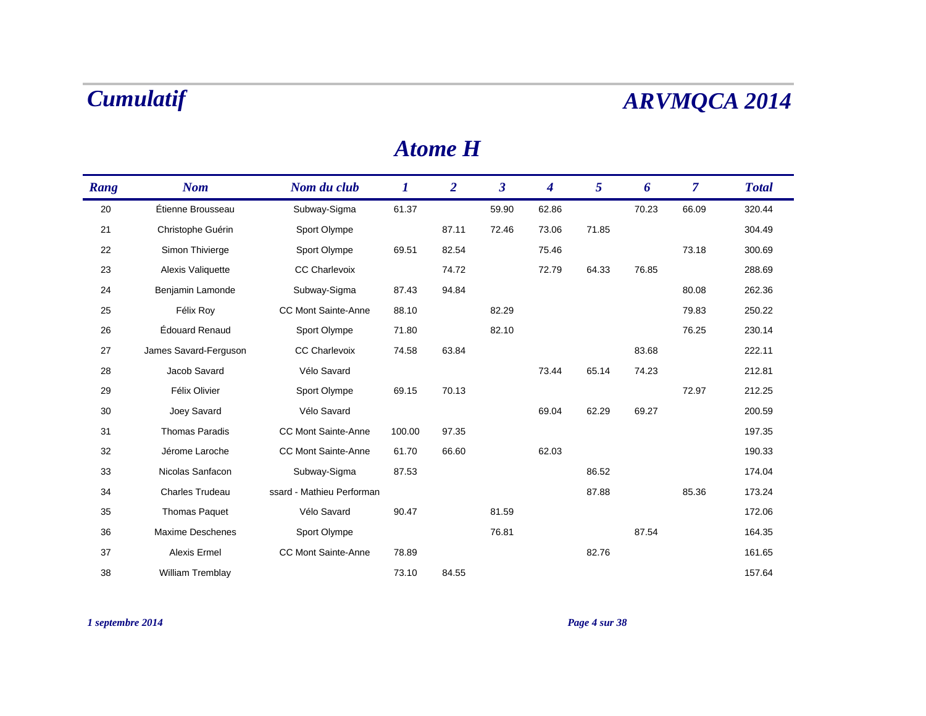### *Atome H*

| Rang | <b>Nom</b>              | Nom du club                | $\bm{l}$ | $\overline{2}$ | $\boldsymbol{\beta}$ | $\overline{\mathbf{4}}$ | 5     | 6     | $\overline{\mathcal{L}}$ | <b>Total</b> |
|------|-------------------------|----------------------------|----------|----------------|----------------------|-------------------------|-------|-------|--------------------------|--------------|
| 20   | Étienne Brousseau       | Subway-Sigma               | 61.37    |                | 59.90                | 62.86                   |       | 70.23 | 66.09                    | 320.44       |
| 21   | Christophe Guérin       | Sport Olympe               |          | 87.11          | 72.46                | 73.06                   | 71.85 |       |                          | 304.49       |
| 22   | Simon Thivierge         | Sport Olympe               | 69.51    | 82.54          |                      | 75.46                   |       |       | 73.18                    | 300.69       |
| 23   | Alexis Valiquette       | <b>CC Charlevoix</b>       |          | 74.72          |                      | 72.79                   | 64.33 | 76.85 |                          | 288.69       |
| 24   | Benjamin Lamonde        | Subway-Sigma               | 87.43    | 94.84          |                      |                         |       |       | 80.08                    | 262.36       |
| 25   | Félix Roy               | <b>CC Mont Sainte-Anne</b> | 88.10    |                | 82.29                |                         |       |       | 79.83                    | 250.22       |
| 26   | Édouard Renaud          | Sport Olympe               | 71.80    |                | 82.10                |                         |       |       | 76.25                    | 230.14       |
| 27   | James Savard-Ferguson   | <b>CC Charlevoix</b>       | 74.58    | 63.84          |                      |                         |       | 83.68 |                          | 222.11       |
| 28   | Jacob Savard            | Vélo Savard                |          |                |                      | 73.44                   | 65.14 | 74.23 |                          | 212.81       |
| 29   | Félix Olivier           | Sport Olympe               | 69.15    | 70.13          |                      |                         |       |       | 72.97                    | 212.25       |
| 30   | Joey Savard             | Vélo Savard                |          |                |                      | 69.04                   | 62.29 | 69.27 |                          | 200.59       |
| 31   | <b>Thomas Paradis</b>   | <b>CC Mont Sainte-Anne</b> | 100.00   | 97.35          |                      |                         |       |       |                          | 197.35       |
| 32   | Jérome Laroche          | <b>CC Mont Sainte-Anne</b> | 61.70    | 66.60          |                      | 62.03                   |       |       |                          | 190.33       |
| 33   | Nicolas Sanfacon        | Subway-Sigma               | 87.53    |                |                      |                         | 86.52 |       |                          | 174.04       |
| 34   | <b>Charles Trudeau</b>  | ssard - Mathieu Performan  |          |                |                      |                         | 87.88 |       | 85.36                    | 173.24       |
| 35   | <b>Thomas Paquet</b>    | Vélo Savard                | 90.47    |                | 81.59                |                         |       |       |                          | 172.06       |
| 36   | <b>Maxime Deschenes</b> | Sport Olympe               |          |                | 76.81                |                         |       | 87.54 |                          | 164.35       |
| 37   | Alexis Ermel            | <b>CC Mont Sainte-Anne</b> | 78.89    |                |                      |                         | 82.76 |       |                          | 161.65       |
| 38   | William Tremblay        |                            | 73.10    | 84.55          |                      |                         |       |       |                          | 157.64       |

*1 septembre 2014 Page 4 sur 38*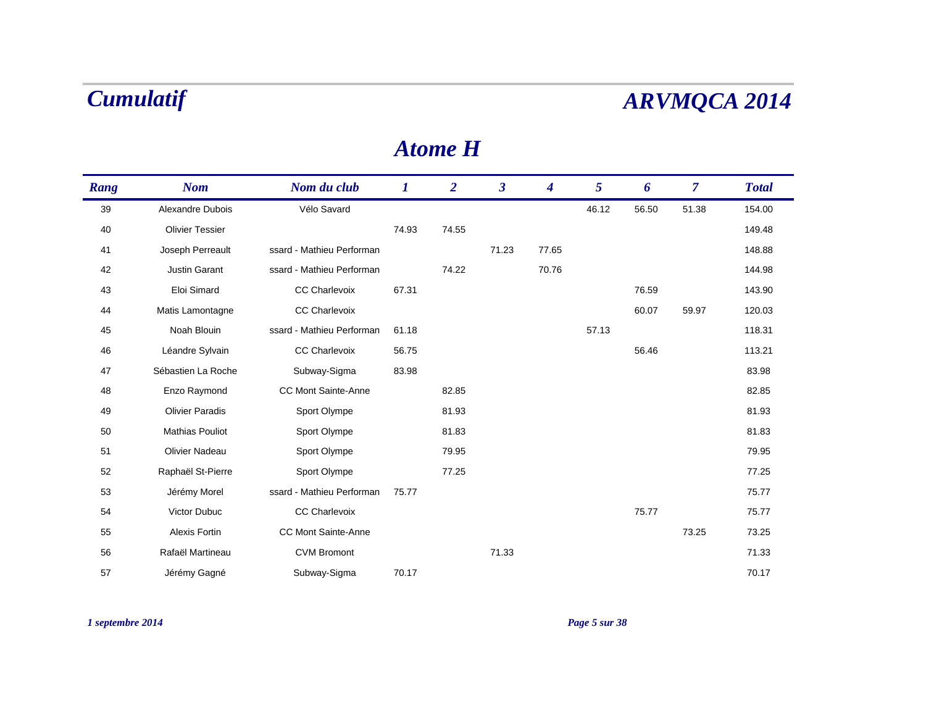### *Atome H*

| Rang | <b>Nom</b>             | Nom du club                | $\bm{l}$ | $\overline{2}$ | $\boldsymbol{\beta}$ | $\overline{\mathbf{4}}$ | 5     | 6     | $\overline{\mathcal{L}}$ | <b>Total</b> |
|------|------------------------|----------------------------|----------|----------------|----------------------|-------------------------|-------|-------|--------------------------|--------------|
| 39   | Alexandre Dubois       | Vélo Savard                |          |                |                      |                         | 46.12 | 56.50 | 51.38                    | 154.00       |
| 40   | <b>Olivier Tessier</b> |                            | 74.93    | 74.55          |                      |                         |       |       |                          | 149.48       |
| 41   | Joseph Perreault       | ssard - Mathieu Performan  |          |                | 71.23                | 77.65                   |       |       |                          | 148.88       |
| 42   | <b>Justin Garant</b>   | ssard - Mathieu Performan  |          | 74.22          |                      | 70.76                   |       |       |                          | 144.98       |
| 43   | Eloi Simard            | <b>CC Charlevoix</b>       | 67.31    |                |                      |                         |       | 76.59 |                          | 143.90       |
| 44   | Matis Lamontagne       | <b>CC Charlevoix</b>       |          |                |                      |                         |       | 60.07 | 59.97                    | 120.03       |
| 45   | Noah Blouin            | ssard - Mathieu Performan  | 61.18    |                |                      |                         | 57.13 |       |                          | 118.31       |
| 46   | Léandre Sylvain        | <b>CC Charlevoix</b>       | 56.75    |                |                      |                         |       | 56.46 |                          | 113.21       |
| 47   | Sébastien La Roche     | Subway-Sigma               | 83.98    |                |                      |                         |       |       |                          | 83.98        |
| 48   | Enzo Raymond           | <b>CC Mont Sainte-Anne</b> |          | 82.85          |                      |                         |       |       |                          | 82.85        |
| 49   | <b>Olivier Paradis</b> | Sport Olympe               |          | 81.93          |                      |                         |       |       |                          | 81.93        |
| 50   | <b>Mathias Pouliot</b> | Sport Olympe               |          | 81.83          |                      |                         |       |       |                          | 81.83        |
| 51   | <b>Olivier Nadeau</b>  | Sport Olympe               |          | 79.95          |                      |                         |       |       |                          | 79.95        |
| 52   | Raphaël St-Pierre      | Sport Olympe               |          | 77.25          |                      |                         |       |       |                          | 77.25        |
| 53   | Jérémy Morel           | ssard - Mathieu Performan  | 75.77    |                |                      |                         |       |       |                          | 75.77        |
| 54   | Victor Dubuc           | <b>CC Charlevoix</b>       |          |                |                      |                         |       | 75.77 |                          | 75.77        |
| 55   | Alexis Fortin          | CC Mont Sainte-Anne        |          |                |                      |                         |       |       | 73.25                    | 73.25        |
| 56   | Rafaël Martineau       | <b>CVM Bromont</b>         |          |                | 71.33                |                         |       |       |                          | 71.33        |
| 57   | Jérémy Gagné           | Subway-Sigma               | 70.17    |                |                      |                         |       |       |                          | 70.17        |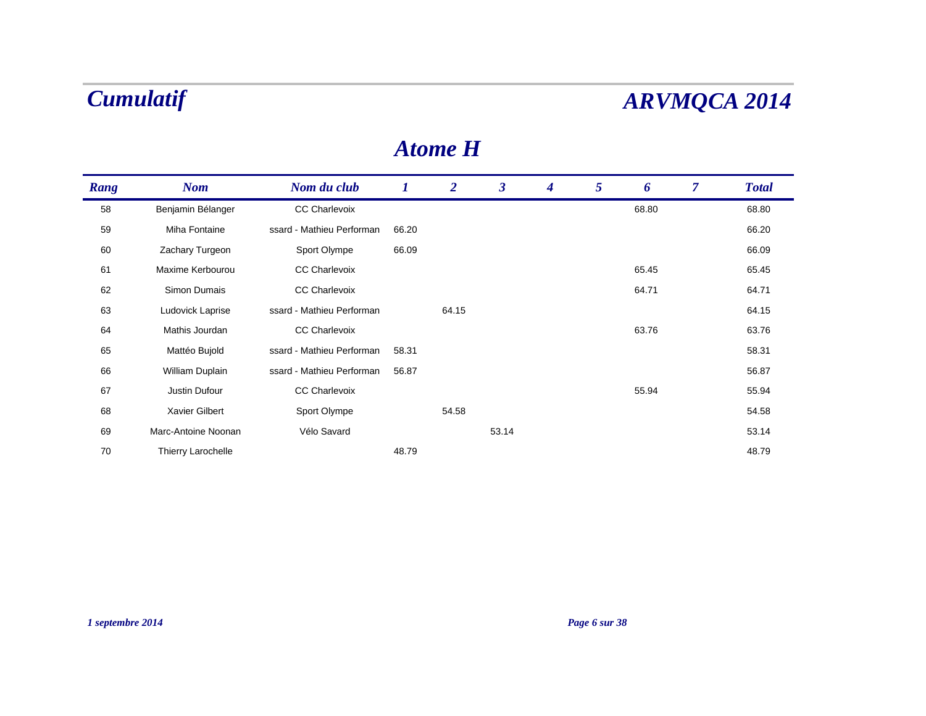### *Atome H*

| Rang | <b>Nom</b>          | Nom du club               | 1     | $\overline{2}$ | $\mathbf{3}$ | $\boldsymbol{4}$ | 5 | 6     | 7 | <b>Total</b> |
|------|---------------------|---------------------------|-------|----------------|--------------|------------------|---|-------|---|--------------|
| 58   | Benjamin Bélanger   | <b>CC Charlevoix</b>      |       |                |              |                  |   | 68.80 |   | 68.80        |
| 59   | Miha Fontaine       | ssard - Mathieu Performan | 66.20 |                |              |                  |   |       |   | 66.20        |
| 60   | Zachary Turgeon     | Sport Olympe              | 66.09 |                |              |                  |   |       |   | 66.09        |
| 61   | Maxime Kerbourou    | <b>CC Charlevoix</b>      |       |                |              |                  |   | 65.45 |   | 65.45        |
| 62   | Simon Dumais        | <b>CC Charlevoix</b>      |       |                |              |                  |   | 64.71 |   | 64.71        |
| 63   | Ludovick Laprise    | ssard - Mathieu Performan |       | 64.15          |              |                  |   |       |   | 64.15        |
| 64   | Mathis Jourdan      | <b>CC Charlevoix</b>      |       |                |              |                  |   | 63.76 |   | 63.76        |
| 65   | Mattéo Bujold       | ssard - Mathieu Performan | 58.31 |                |              |                  |   |       |   | 58.31        |
| 66   | William Duplain     | ssard - Mathieu Performan | 56.87 |                |              |                  |   |       |   | 56.87        |
| 67   | Justin Dufour       | <b>CC Charlevoix</b>      |       |                |              |                  |   | 55.94 |   | 55.94        |
| 68   | Xavier Gilbert      | Sport Olympe              |       | 54.58          |              |                  |   |       |   | 54.58        |
| 69   | Marc-Antoine Noonan | Vélo Savard               |       |                | 53.14        |                  |   |       |   | 53.14        |
| 70   | Thierry Larochelle  |                           | 48.79 |                |              |                  |   |       |   | 48.79        |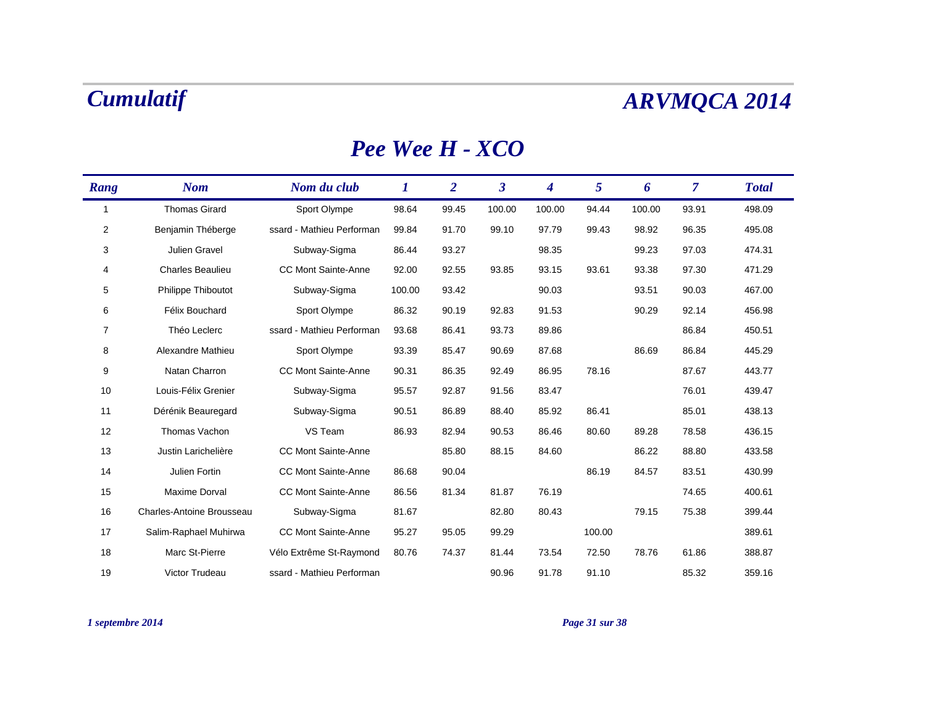### *Pee Wee H - XCO*

| Rang           | <b>Nom</b>                | Nom du club                | $\bm{l}$ | $\overline{2}$ | $\boldsymbol{\beta}$ | 4      | 5      | 6      | $\overline{7}$ | <b>Total</b> |
|----------------|---------------------------|----------------------------|----------|----------------|----------------------|--------|--------|--------|----------------|--------------|
| $\mathbf{1}$   | <b>Thomas Girard</b>      | Sport Olympe               | 98.64    | 99.45          | 100.00               | 100.00 | 94.44  | 100.00 | 93.91          | 498.09       |
| $\overline{c}$ | Benjamin Théberge         | ssard - Mathieu Performan  | 99.84    | 91.70          | 99.10                | 97.79  | 99.43  | 98.92  | 96.35          | 495.08       |
| 3              | Julien Gravel             | Subway-Sigma               | 86.44    | 93.27          |                      | 98.35  |        | 99.23  | 97.03          | 474.31       |
| 4              | Charles Beaulieu          | <b>CC Mont Sainte-Anne</b> | 92.00    | 92.55          | 93.85                | 93.15  | 93.61  | 93.38  | 97.30          | 471.29       |
| 5              | Philippe Thiboutot        | Subway-Sigma               | 100.00   | 93.42          |                      | 90.03  |        | 93.51  | 90.03          | 467.00       |
| 6              | Félix Bouchard            | Sport Olympe               | 86.32    | 90.19          | 92.83                | 91.53  |        | 90.29  | 92.14          | 456.98       |
| 7              | Théo Leclerc              | ssard - Mathieu Performan  | 93.68    | 86.41          | 93.73                | 89.86  |        |        | 86.84          | 450.51       |
| 8              | Alexandre Mathieu         | Sport Olympe               | 93.39    | 85.47          | 90.69                | 87.68  |        | 86.69  | 86.84          | 445.29       |
| 9              | Natan Charron             | <b>CC Mont Sainte-Anne</b> | 90.31    | 86.35          | 92.49                | 86.95  | 78.16  |        | 87.67          | 443.77       |
| 10             | Louis-Félix Grenier       | Subway-Sigma               | 95.57    | 92.87          | 91.56                | 83.47  |        |        | 76.01          | 439.47       |
| 11             | Dérénik Beauregard        | Subway-Sigma               | 90.51    | 86.89          | 88.40                | 85.92  | 86.41  |        | 85.01          | 438.13       |
| 12             | Thomas Vachon             | VS Team                    | 86.93    | 82.94          | 90.53                | 86.46  | 80.60  | 89.28  | 78.58          | 436.15       |
| 13             | Justin Larichelière       | <b>CC Mont Sainte-Anne</b> |          | 85.80          | 88.15                | 84.60  |        | 86.22  | 88.80          | 433.58       |
| 14             | Julien Fortin             | <b>CC Mont Sainte-Anne</b> | 86.68    | 90.04          |                      |        | 86.19  | 84.57  | 83.51          | 430.99       |
| 15             | Maxime Dorval             | <b>CC Mont Sainte-Anne</b> | 86.56    | 81.34          | 81.87                | 76.19  |        |        | 74.65          | 400.61       |
| 16             | Charles-Antoine Brousseau | Subway-Sigma               | 81.67    |                | 82.80                | 80.43  |        | 79.15  | 75.38          | 399.44       |
| 17             | Salim-Raphael Muhirwa     | <b>CC Mont Sainte-Anne</b> | 95.27    | 95.05          | 99.29                |        | 100.00 |        |                | 389.61       |
| 18             | Marc St-Pierre            | Vélo Extrême St-Raymond    | 80.76    | 74.37          | 81.44                | 73.54  | 72.50  | 78.76  | 61.86          | 388.87       |
| 19             | Victor Trudeau            | ssard - Mathieu Performan  |          |                | 90.96                | 91.78  | 91.10  |        | 85.32          | 359.16       |

### *1 septembre 2014 Page 31 sur 38*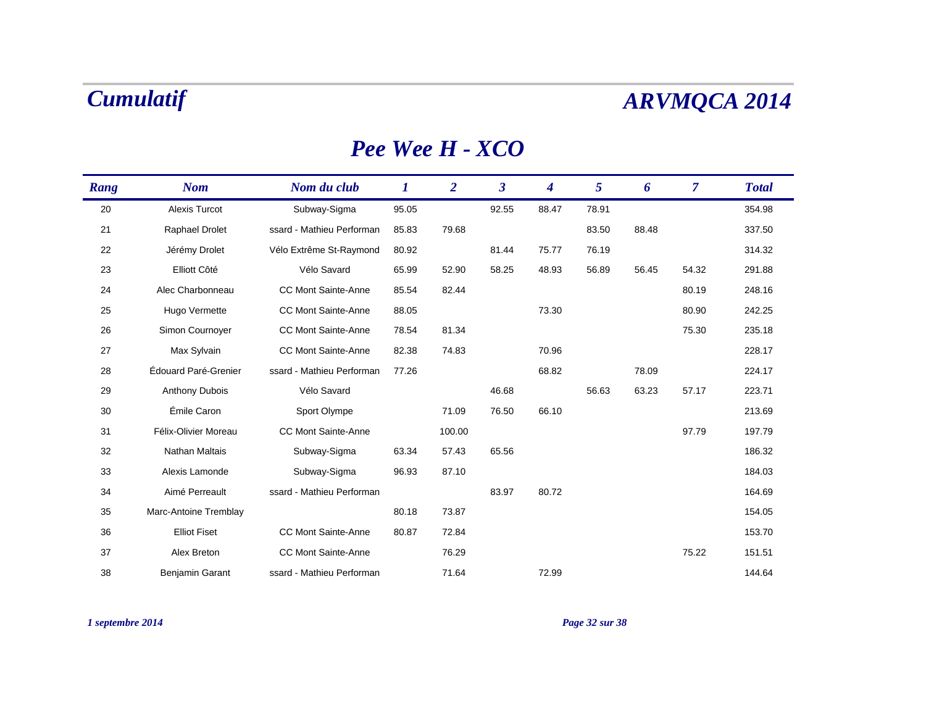### *Pee Wee H - XCO*

| Rang | <b>Nom</b>            | Nom du club                | 1     | $\overline{2}$ | $\boldsymbol{\beta}$ | 4     | 5     | 6     | $\overline{7}$ | <b>Total</b> |
|------|-----------------------|----------------------------|-------|----------------|----------------------|-------|-------|-------|----------------|--------------|
| 20   | <b>Alexis Turcot</b>  | Subway-Sigma               | 95.05 |                | 92.55                | 88.47 | 78.91 |       |                | 354.98       |
| 21   | Raphael Drolet        | ssard - Mathieu Performan  | 85.83 | 79.68          |                      |       | 83.50 | 88.48 |                | 337.50       |
| 22   | Jérémy Drolet         | Vélo Extrême St-Raymond    | 80.92 |                | 81.44                | 75.77 | 76.19 |       |                | 314.32       |
| 23   | Elliott Côté          | Vélo Savard                | 65.99 | 52.90          | 58.25                | 48.93 | 56.89 | 56.45 | 54.32          | 291.88       |
| 24   | Alec Charbonneau      | <b>CC Mont Sainte-Anne</b> | 85.54 | 82.44          |                      |       |       |       | 80.19          | 248.16       |
| 25   | Hugo Vermette         | <b>CC Mont Sainte-Anne</b> | 88.05 |                |                      | 73.30 |       |       | 80.90          | 242.25       |
| 26   | Simon Cournoyer       | <b>CC Mont Sainte-Anne</b> | 78.54 | 81.34          |                      |       |       |       | 75.30          | 235.18       |
| 27   | Max Sylvain           | <b>CC Mont Sainte-Anne</b> | 82.38 | 74.83          |                      | 70.96 |       |       |                | 228.17       |
| 28   | Édouard Paré-Grenier  | ssard - Mathieu Performan  | 77.26 |                |                      | 68.82 |       | 78.09 |                | 224.17       |
| 29   | <b>Anthony Dubois</b> | Vélo Savard                |       |                | 46.68                |       | 56.63 | 63.23 | 57.17          | 223.71       |
| 30   | Émile Caron           | Sport Olympe               |       | 71.09          | 76.50                | 66.10 |       |       |                | 213.69       |
| 31   | Félix-Olivier Moreau  | <b>CC Mont Sainte-Anne</b> |       | 100.00         |                      |       |       |       | 97.79          | 197.79       |
| 32   | <b>Nathan Maltais</b> | Subway-Sigma               | 63.34 | 57.43          | 65.56                |       |       |       |                | 186.32       |
| 33   | Alexis Lamonde        | Subway-Sigma               | 96.93 | 87.10          |                      |       |       |       |                | 184.03       |
| 34   | Aimé Perreault        | ssard - Mathieu Performan  |       |                | 83.97                | 80.72 |       |       |                | 164.69       |
| 35   | Marc-Antoine Tremblay |                            | 80.18 | 73.87          |                      |       |       |       |                | 154.05       |
| 36   | <b>Elliot Fiset</b>   | <b>CC Mont Sainte-Anne</b> | 80.87 | 72.84          |                      |       |       |       |                | 153.70       |
| 37   | Alex Breton           | <b>CC Mont Sainte-Anne</b> |       | 76.29          |                      |       |       |       | 75.22          | 151.51       |
| 38   | Benjamin Garant       | ssard - Mathieu Performan  |       | 71.64          |                      | 72.99 |       |       |                | 144.64       |

*1 septembre 2014 Page 32 sur 38*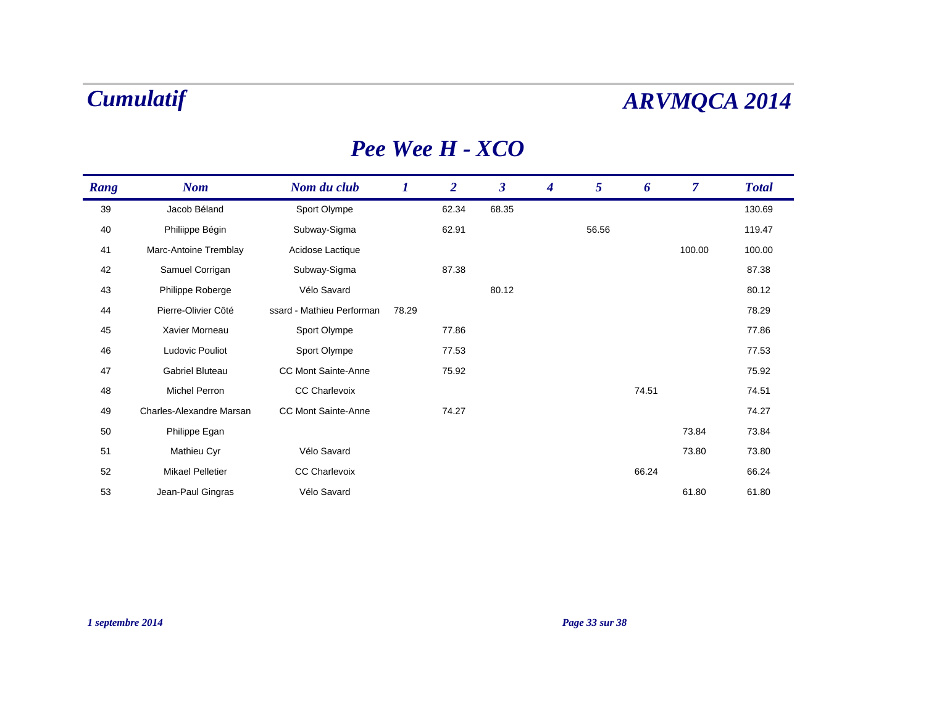### *Pee Wee H - XCO*

| Rang | <b>Nom</b>               | Nom du club                | $\bm{l}$ | $\overline{2}$ | $\boldsymbol{\beta}$ | $\boldsymbol{4}$ | 5     | 6     | $\overline{7}$ | <b>Total</b> |
|------|--------------------------|----------------------------|----------|----------------|----------------------|------------------|-------|-------|----------------|--------------|
| 39   | Jacob Béland             | Sport Olympe               |          | 62.34          | 68.35                |                  |       |       |                | 130.69       |
| 40   | Philiippe Bégin          | Subway-Sigma               |          | 62.91          |                      |                  | 56.56 |       |                | 119.47       |
| 41   | Marc-Antoine Tremblay    | Acidose Lactique           |          |                |                      |                  |       |       | 100.00         | 100.00       |
| 42   | Samuel Corrigan          | Subway-Sigma               |          | 87.38          |                      |                  |       |       |                | 87.38        |
| 43   | Philippe Roberge         | Vélo Savard                |          |                | 80.12                |                  |       |       |                | 80.12        |
| 44   | Pierre-Olivier Côté      | ssard - Mathieu Performan  | 78.29    |                |                      |                  |       |       |                | 78.29        |
| 45   | Xavier Morneau           | Sport Olympe               |          | 77.86          |                      |                  |       |       |                | 77.86        |
| 46   | Ludovic Pouliot          | Sport Olympe               |          | 77.53          |                      |                  |       |       |                | 77.53        |
| 47   | Gabriel Bluteau          | CC Mont Sainte-Anne        |          | 75.92          |                      |                  |       |       |                | 75.92        |
| 48   | Michel Perron            | <b>CC Charlevoix</b>       |          |                |                      |                  |       | 74.51 |                | 74.51        |
| 49   | Charles-Alexandre Marsan | <b>CC Mont Sainte-Anne</b> |          | 74.27          |                      |                  |       |       |                | 74.27        |
| 50   | Philippe Egan            |                            |          |                |                      |                  |       |       | 73.84          | 73.84        |
| 51   | Mathieu Cyr              | Vélo Savard                |          |                |                      |                  |       |       | 73.80          | 73.80        |
| 52   | <b>Mikael Pelletier</b>  | <b>CC Charlevoix</b>       |          |                |                      |                  |       | 66.24 |                | 66.24        |
| 53   | Jean-Paul Gingras        | Vélo Savard                |          |                |                      |                  |       |       | 61.80          | 61.80        |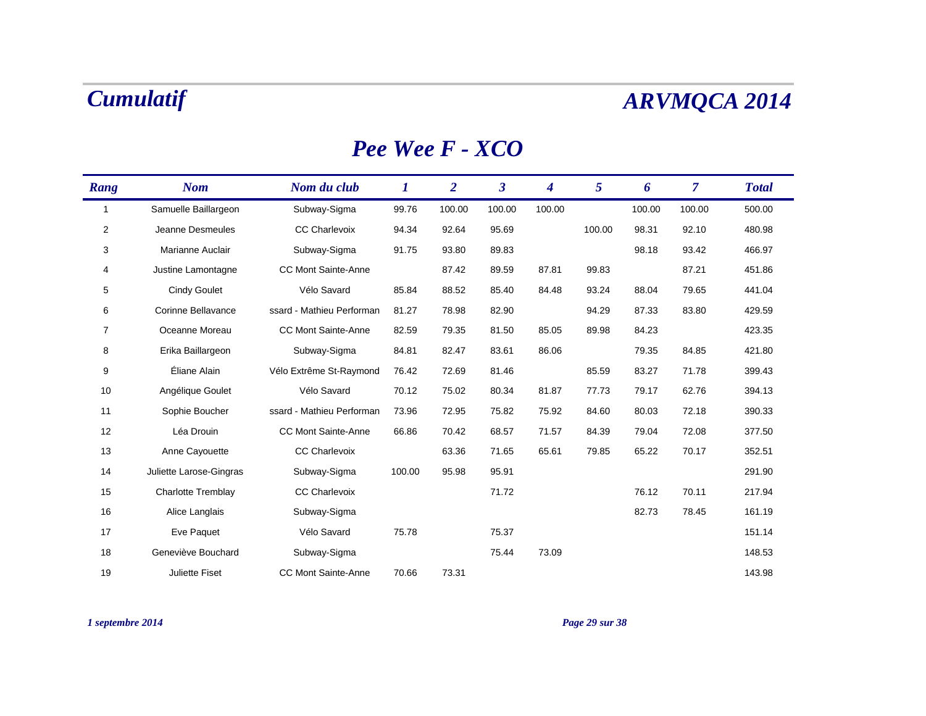### *Pee Wee F - XCO*

| Rang           | <b>Nom</b>                | Nom du club                | $\bm{l}$ | $\overline{2}$ | $\boldsymbol{\beta}$ | 4      | 5      | 6      | $\overline{7}$ | <b>Total</b> |
|----------------|---------------------------|----------------------------|----------|----------------|----------------------|--------|--------|--------|----------------|--------------|
| $\mathbf{1}$   | Samuelle Baillargeon      | Subway-Sigma               | 99.76    | 100.00         | 100.00               | 100.00 |        | 100.00 | 100.00         | 500.00       |
| 2              | Jeanne Desmeules          | <b>CC Charlevoix</b>       | 94.34    | 92.64          | 95.69                |        | 100.00 | 98.31  | 92.10          | 480.98       |
| 3              | Marianne Auclair          | Subway-Sigma               | 91.75    | 93.80          | 89.83                |        |        | 98.18  | 93.42          | 466.97       |
| 4              | Justine Lamontagne        | <b>CC Mont Sainte-Anne</b> |          | 87.42          | 89.59                | 87.81  | 99.83  |        | 87.21          | 451.86       |
| 5              | <b>Cindy Goulet</b>       | Vélo Savard                | 85.84    | 88.52          | 85.40                | 84.48  | 93.24  | 88.04  | 79.65          | 441.04       |
| 6              | Corinne Bellavance        | ssard - Mathieu Performan  | 81.27    | 78.98          | 82.90                |        | 94.29  | 87.33  | 83.80          | 429.59       |
| $\overline{7}$ | Oceanne Moreau            | <b>CC Mont Sainte-Anne</b> | 82.59    | 79.35          | 81.50                | 85.05  | 89.98  | 84.23  |                | 423.35       |
| 8              | Erika Baillargeon         | Subway-Sigma               | 84.81    | 82.47          | 83.61                | 86.06  |        | 79.35  | 84.85          | 421.80       |
| 9              | Éliane Alain              | Vélo Extrême St-Raymond    | 76.42    | 72.69          | 81.46                |        | 85.59  | 83.27  | 71.78          | 399.43       |
| 10             | Angélique Goulet          | Vélo Savard                | 70.12    | 75.02          | 80.34                | 81.87  | 77.73  | 79.17  | 62.76          | 394.13       |
| 11             | Sophie Boucher            | ssard - Mathieu Performan  | 73.96    | 72.95          | 75.82                | 75.92  | 84.60  | 80.03  | 72.18          | 390.33       |
| 12             | Léa Drouin                | <b>CC Mont Sainte-Anne</b> | 66.86    | 70.42          | 68.57                | 71.57  | 84.39  | 79.04  | 72.08          | 377.50       |
| 13             | Anne Cayouette            | <b>CC Charlevoix</b>       |          | 63.36          | 71.65                | 65.61  | 79.85  | 65.22  | 70.17          | 352.51       |
| 14             | Juliette Larose-Gingras   | Subway-Sigma               | 100.00   | 95.98          | 95.91                |        |        |        |                | 291.90       |
| 15             | <b>Charlotte Tremblay</b> | <b>CC Charlevoix</b>       |          |                | 71.72                |        |        | 76.12  | 70.11          | 217.94       |
| 16             | Alice Langlais            | Subway-Sigma               |          |                |                      |        |        | 82.73  | 78.45          | 161.19       |
| 17             | Eve Paquet                | Vélo Savard                | 75.78    |                | 75.37                |        |        |        |                | 151.14       |
| 18             | Geneviève Bouchard        | Subway-Sigma               |          |                | 75.44                | 73.09  |        |        |                | 148.53       |
| 19             | <b>Juliette Fiset</b>     | <b>CC Mont Sainte-Anne</b> | 70.66    | 73.31          |                      |        |        |        |                | 143.98       |

### *1 septembre 2014 Page 29 sur 38*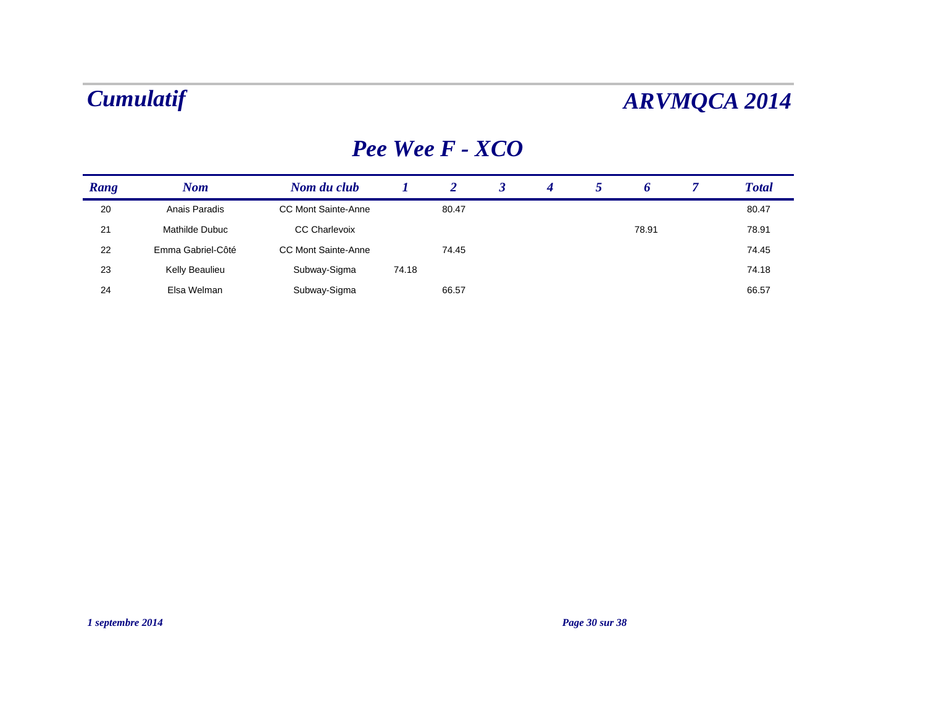### *Pee Wee F - XCO*

| Rang | <b>Nom</b>        | Nom du club                |       |       | 4 | O     | <b>Total</b> |
|------|-------------------|----------------------------|-------|-------|---|-------|--------------|
| 20   | Anais Paradis     | <b>CC Mont Sainte-Anne</b> |       | 80.47 |   |       | 80.47        |
| 21   | Mathilde Dubuc    | <b>CC Charlevoix</b>       |       |       |   | 78.91 | 78.91        |
| 22   | Emma Gabriel-Côté | <b>CC Mont Sainte-Anne</b> |       | 74.45 |   |       | 74.45        |
| 23   | Kelly Beaulieu    | Subway-Sigma               | 74.18 |       |   |       | 74.18        |
| 24   | Elsa Welman       | Subway-Sigma               |       | 66.57 |   |       | 66.57        |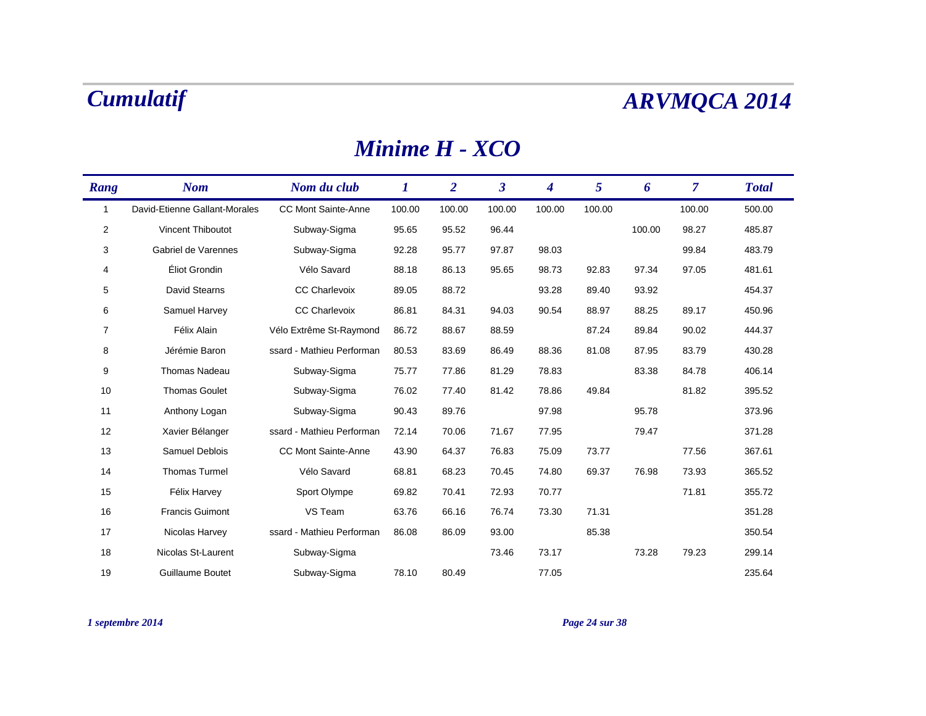### *Minime H - XCO*

| Rang           | <b>Nom</b>                    | Nom du club                | 1      | $\overline{2}$ | $\boldsymbol{\beta}$ | 4      | 5      | 6      | $\overline{7}$ | <b>Total</b> |
|----------------|-------------------------------|----------------------------|--------|----------------|----------------------|--------|--------|--------|----------------|--------------|
| 1              | David-Etienne Gallant-Morales | <b>CC Mont Sainte-Anne</b> | 100.00 | 100.00         | 100.00               | 100.00 | 100.00 |        | 100.00         | 500.00       |
| 2              | Vincent Thiboutot             | Subway-Sigma               | 95.65  | 95.52          | 96.44                |        |        | 100.00 | 98.27          | 485.87       |
| 3              | Gabriel de Varennes           | Subway-Sigma               | 92.28  | 95.77          | 97.87                | 98.03  |        |        | 99.84          | 483.79       |
| 4              | Éliot Grondin                 | Vélo Savard                | 88.18  | 86.13          | 95.65                | 98.73  | 92.83  | 97.34  | 97.05          | 481.61       |
| 5              | David Stearns                 | <b>CC Charlevoix</b>       | 89.05  | 88.72          |                      | 93.28  | 89.40  | 93.92  |                | 454.37       |
| 6              | Samuel Harvey                 | <b>CC Charlevoix</b>       | 86.81  | 84.31          | 94.03                | 90.54  | 88.97  | 88.25  | 89.17          | 450.96       |
| $\overline{7}$ | Félix Alain                   | Vélo Extrême St-Raymond    | 86.72  | 88.67          | 88.59                |        | 87.24  | 89.84  | 90.02          | 444.37       |
| 8              | Jérémie Baron                 | ssard - Mathieu Performan  | 80.53  | 83.69          | 86.49                | 88.36  | 81.08  | 87.95  | 83.79          | 430.28       |
| 9              | <b>Thomas Nadeau</b>          | Subway-Sigma               | 75.77  | 77.86          | 81.29                | 78.83  |        | 83.38  | 84.78          | 406.14       |
| 10             | <b>Thomas Goulet</b>          | Subway-Sigma               | 76.02  | 77.40          | 81.42                | 78.86  | 49.84  |        | 81.82          | 395.52       |
| 11             | Anthony Logan                 | Subway-Sigma               | 90.43  | 89.76          |                      | 97.98  |        | 95.78  |                | 373.96       |
| 12             | Xavier Bélanger               | ssard - Mathieu Performan  | 72.14  | 70.06          | 71.67                | 77.95  |        | 79.47  |                | 371.28       |
| 13             | Samuel Deblois                | <b>CC Mont Sainte-Anne</b> | 43.90  | 64.37          | 76.83                | 75.09  | 73.77  |        | 77.56          | 367.61       |
| 14             | <b>Thomas Turmel</b>          | Vélo Savard                | 68.81  | 68.23          | 70.45                | 74.80  | 69.37  | 76.98  | 73.93          | 365.52       |
| 15             | Félix Harvey                  | Sport Olympe               | 69.82  | 70.41          | 72.93                | 70.77  |        |        | 71.81          | 355.72       |
| 16             | <b>Francis Guimont</b>        | VS Team                    | 63.76  | 66.16          | 76.74                | 73.30  | 71.31  |        |                | 351.28       |
| 17             | Nicolas Harvey                | ssard - Mathieu Performan  | 86.08  | 86.09          | 93.00                |        | 85.38  |        |                | 350.54       |
| 18             | Nicolas St-Laurent            | Subway-Sigma               |        |                | 73.46                | 73.17  |        | 73.28  | 79.23          | 299.14       |
| 19             | <b>Guillaume Boutet</b>       | Subway-Sigma               | 78.10  | 80.49          |                      | 77.05  |        |        |                | 235.64       |

### *1 septembre 2014 Page 24 sur 38*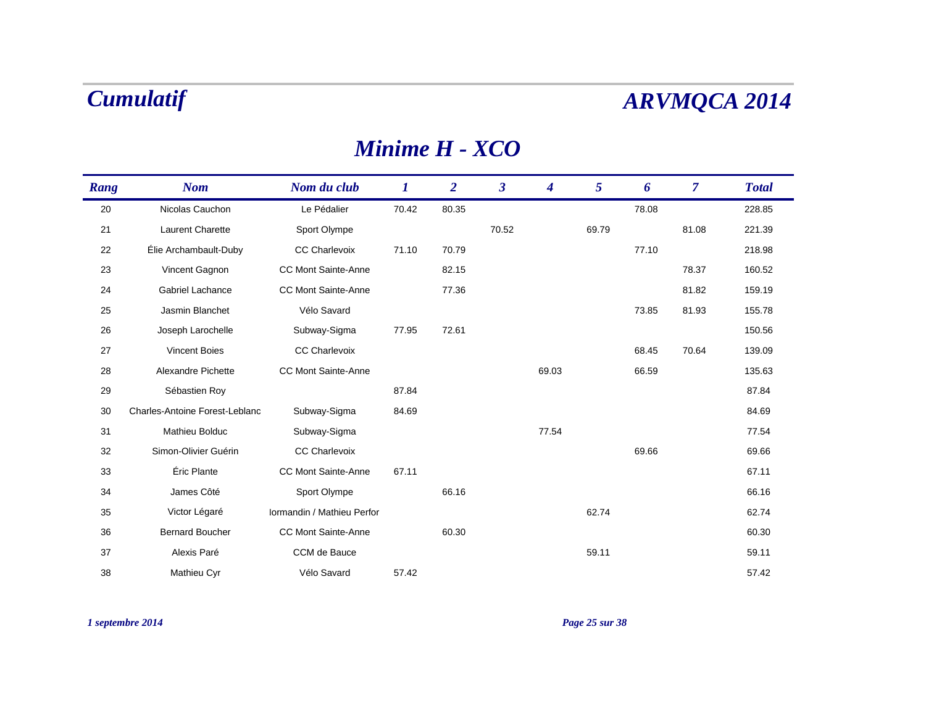### *Minime H - XCO*

| Rang | <b>Nom</b>                            | Nom du club                | $\bm{l}$ | $\overline{2}$ | $\mathbf{3}$ | 4     | 5     | 6     | $\overline{\mathcal{L}}$ | <b>Total</b> |
|------|---------------------------------------|----------------------------|----------|----------------|--------------|-------|-------|-------|--------------------------|--------------|
| 20   | Nicolas Cauchon                       | Le Pédalier                | 70.42    | 80.35          |              |       |       | 78.08 |                          | 228.85       |
| 21   | Laurent Charette                      | Sport Olympe               |          |                | 70.52        |       | 69.79 |       | 81.08                    | 221.39       |
| 22   | Élie Archambault-Duby                 | CC Charlevoix              | 71.10    | 70.79          |              |       |       | 77.10 |                          | 218.98       |
| 23   | Vincent Gagnon                        | <b>CC Mont Sainte-Anne</b> |          | 82.15          |              |       |       |       | 78.37                    | 160.52       |
| 24   | Gabriel Lachance                      | <b>CC Mont Sainte-Anne</b> |          | 77.36          |              |       |       |       | 81.82                    | 159.19       |
| 25   | Jasmin Blanchet                       | Vélo Savard                |          |                |              |       |       | 73.85 | 81.93                    | 155.78       |
| 26   | Joseph Larochelle                     | Subway-Sigma               | 77.95    | 72.61          |              |       |       |       |                          | 150.56       |
| 27   | <b>Vincent Boies</b>                  | <b>CC Charlevoix</b>       |          |                |              |       |       | 68.45 | 70.64                    | 139.09       |
| 28   | Alexandre Pichette                    | <b>CC Mont Sainte-Anne</b> |          |                |              | 69.03 |       | 66.59 |                          | 135.63       |
| 29   | Sébastien Roy                         |                            | 87.84    |                |              |       |       |       |                          | 87.84        |
| 30   | <b>Charles-Antoine Forest-Leblanc</b> | Subway-Sigma               | 84.69    |                |              |       |       |       |                          | 84.69        |
| 31   | Mathieu Bolduc                        | Subway-Sigma               |          |                |              | 77.54 |       |       |                          | 77.54        |
| 32   | Simon-Olivier Guérin                  | <b>CC Charlevoix</b>       |          |                |              |       |       | 69.66 |                          | 69.66        |
| 33   | Éric Plante                           | <b>CC Mont Sainte-Anne</b> | 67.11    |                |              |       |       |       |                          | 67.11        |
| 34   | James Côté                            | Sport Olympe               |          | 66.16          |              |       |       |       |                          | 66.16        |
| 35   | Victor Légaré                         | Iormandin / Mathieu Perfor |          |                |              |       | 62.74 |       |                          | 62.74        |
| 36   | <b>Bernard Boucher</b>                | <b>CC Mont Sainte-Anne</b> |          | 60.30          |              |       |       |       |                          | 60.30        |
| 37   | Alexis Paré                           | CCM de Bauce               |          |                |              |       | 59.11 |       |                          | 59.11        |
| 38   | Mathieu Cyr                           | Vélo Savard                | 57.42    |                |              |       |       |       |                          | 57.42        |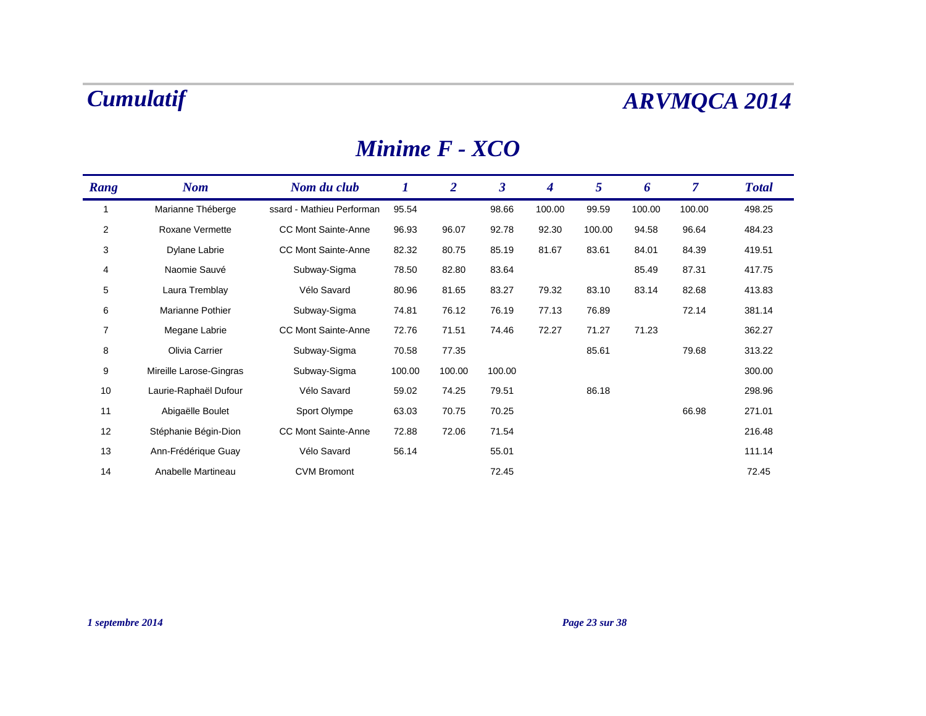### *Minime F - XCO*

| Rang           | <b>Nom</b>              | Nom du club                | 1      | $\overline{2}$ | $\boldsymbol{\beta}$ | $\boldsymbol{4}$ | $5\overline{)}$ | 6      | $\overline{7}$ | <b>Total</b> |
|----------------|-------------------------|----------------------------|--------|----------------|----------------------|------------------|-----------------|--------|----------------|--------------|
|                | Marianne Théberge       | ssard - Mathieu Performan  | 95.54  |                | 98.66                | 100.00           | 99.59           | 100.00 | 100.00         | 498.25       |
| $\overline{2}$ | Roxane Vermette         | <b>CC Mont Sainte-Anne</b> | 96.93  | 96.07          | 92.78                | 92.30            | 100.00          | 94.58  | 96.64          | 484.23       |
| 3              | Dylane Labrie           | <b>CC Mont Sainte-Anne</b> | 82.32  | 80.75          | 85.19                | 81.67            | 83.61           | 84.01  | 84.39          | 419.51       |
| 4              | Naomie Sauvé            | Subway-Sigma               | 78.50  | 82.80          | 83.64                |                  |                 | 85.49  | 87.31          | 417.75       |
| 5              | Laura Tremblay          | Vélo Savard                | 80.96  | 81.65          | 83.27                | 79.32            | 83.10           | 83.14  | 82.68          | 413.83       |
| 6              | Marianne Pothier        | Subway-Sigma               | 74.81  | 76.12          | 76.19                | 77.13            | 76.89           |        | 72.14          | 381.14       |
| $\overline{7}$ | Megane Labrie           | <b>CC Mont Sainte-Anne</b> | 72.76  | 71.51          | 74.46                | 72.27            | 71.27           | 71.23  |                | 362.27       |
| 8              | Olivia Carrier          | Subway-Sigma               | 70.58  | 77.35          |                      |                  | 85.61           |        | 79.68          | 313.22       |
| 9              | Mireille Larose-Gingras | Subway-Sigma               | 100.00 | 100.00         | 100.00               |                  |                 |        |                | 300.00       |
| 10             | Laurie-Raphaël Dufour   | Vélo Savard                | 59.02  | 74.25          | 79.51                |                  | 86.18           |        |                | 298.96       |
| 11             | Abigaëlle Boulet        | Sport Olympe               | 63.03  | 70.75          | 70.25                |                  |                 |        | 66.98          | 271.01       |
| 12             | Stéphanie Bégin-Dion    | <b>CC Mont Sainte-Anne</b> | 72.88  | 72.06          | 71.54                |                  |                 |        |                | 216.48       |
| 13             | Ann-Frédérique Guay     | Vélo Savard                | 56.14  |                | 55.01                |                  |                 |        |                | 111.14       |
| 14             | Anabelle Martineau      | <b>CVM Bromont</b>         |        |                | 72.45                |                  |                 |        |                | 72.45        |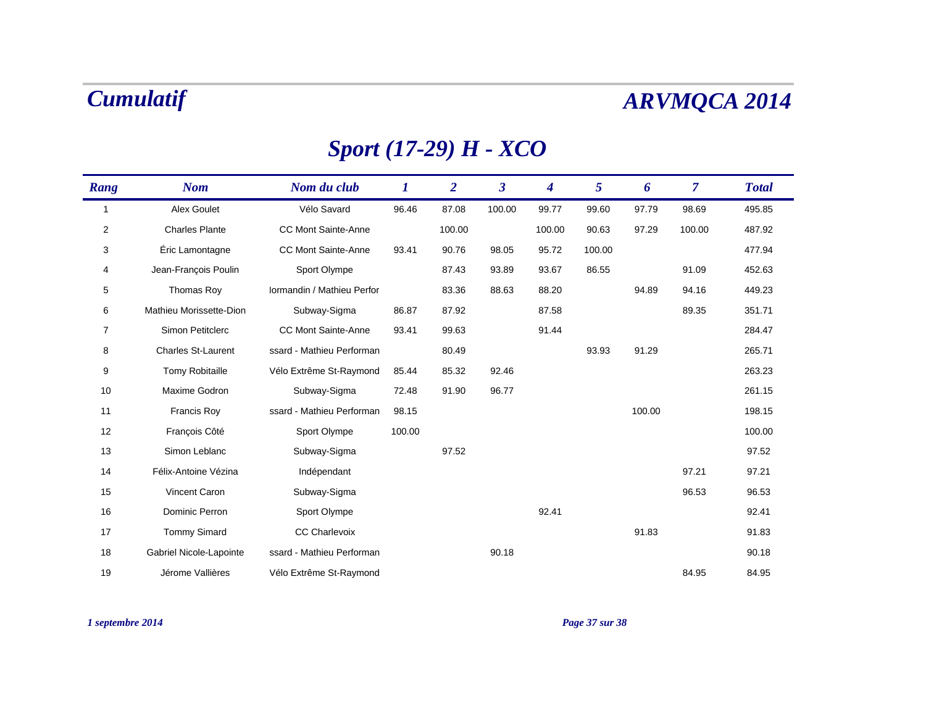## *Sport (17-29) H - XCO*

| Rang             | <b>Nom</b>                | Nom du club                | 1      | $\overline{2}$ | $\overline{\mathbf{3}}$ | 4      | 5      | 6      | $\overline{7}$ | <b>Total</b> |
|------------------|---------------------------|----------------------------|--------|----------------|-------------------------|--------|--------|--------|----------------|--------------|
| $\mathbf{1}$     | Alex Goulet               | Vélo Savard                | 96.46  | 87.08          | 100.00                  | 99.77  | 99.60  | 97.79  | 98.69          | 495.85       |
| $\boldsymbol{2}$ | <b>Charles Plante</b>     | <b>CC Mont Sainte-Anne</b> |        | 100.00         |                         | 100.00 | 90.63  | 97.29  | 100.00         | 487.92       |
| 3                | Éric Lamontagne           | <b>CC Mont Sainte-Anne</b> | 93.41  | 90.76          | 98.05                   | 95.72  | 100.00 |        |                | 477.94       |
| 4                | Jean-Francois Poulin      | Sport Olympe               |        | 87.43          | 93.89                   | 93.67  | 86.55  |        | 91.09          | 452.63       |
| 5                | Thomas Roy                | Iormandin / Mathieu Perfor |        | 83.36          | 88.63                   | 88.20  |        | 94.89  | 94.16          | 449.23       |
| 6                | Mathieu Morissette-Dion   | Subway-Sigma               | 86.87  | 87.92          |                         | 87.58  |        |        | 89.35          | 351.71       |
| $\overline{7}$   | Simon Petitclerc          | <b>CC Mont Sainte-Anne</b> | 93.41  | 99.63          |                         | 91.44  |        |        |                | 284.47       |
| 8                | <b>Charles St-Laurent</b> | ssard - Mathieu Performan  |        | 80.49          |                         |        | 93.93  | 91.29  |                | 265.71       |
| 9                | <b>Tomy Robitaille</b>    | Vélo Extrême St-Raymond    | 85.44  | 85.32          | 92.46                   |        |        |        |                | 263.23       |
| 10               | Maxime Godron             | Subway-Sigma               | 72.48  | 91.90          | 96.77                   |        |        |        |                | 261.15       |
| 11               | <b>Francis Roy</b>        | ssard - Mathieu Performan  | 98.15  |                |                         |        |        | 100.00 |                | 198.15       |
| 12               | François Côté             | Sport Olympe               | 100.00 |                |                         |        |        |        |                | 100.00       |
| 13               | Simon Leblanc             | Subway-Sigma               |        | 97.52          |                         |        |        |        |                | 97.52        |
| 14               | Félix-Antoine Vézina      | Indépendant                |        |                |                         |        |        |        | 97.21          | 97.21        |
| 15               | Vincent Caron             | Subway-Sigma               |        |                |                         |        |        |        | 96.53          | 96.53        |
| 16               | Dominic Perron            | Sport Olympe               |        |                |                         | 92.41  |        |        |                | 92.41        |
| 17               | <b>Tommy Simard</b>       | <b>CC Charlevoix</b>       |        |                |                         |        |        | 91.83  |                | 91.83        |
| 18               | Gabriel Nicole-Lapointe   | ssard - Mathieu Performan  |        |                | 90.18                   |        |        |        |                | 90.18        |
| 19               | Jérome Vallières          | Vélo Extrême St-Raymond    |        |                |                         |        |        |        | 84.95          | 84.95        |

### *1 septembre 2014 Page 37 sur 38*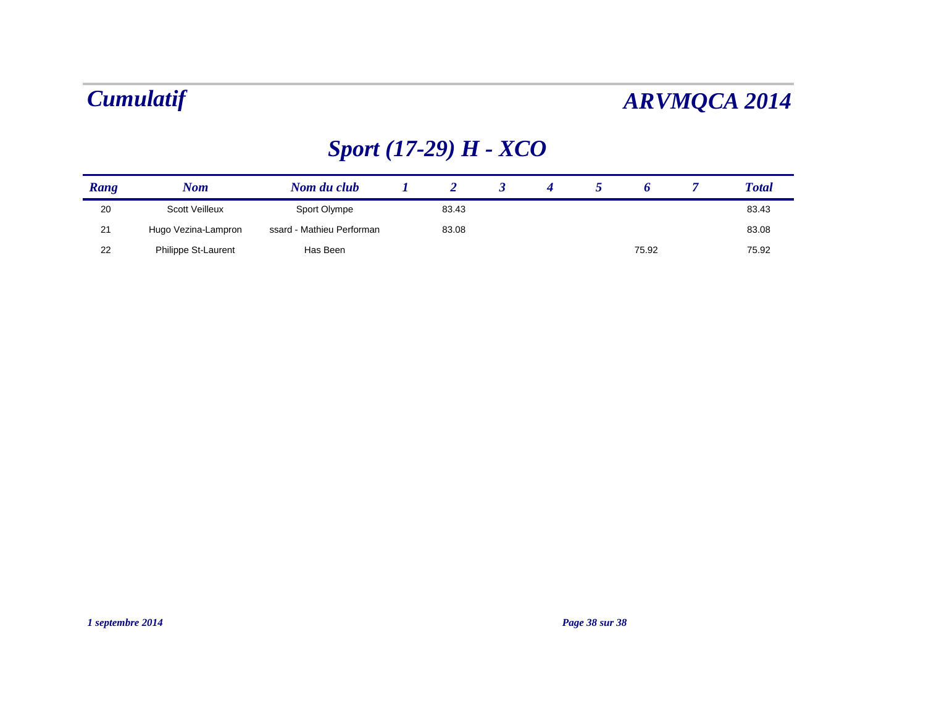# *Sport (17-29) H - XCO*

| Rang | Nom                 | Nom du club               |       |  |       | <b>Total</b> |
|------|---------------------|---------------------------|-------|--|-------|--------------|
| 20   | Scott Veilleux      | Sport Olympe              | 83.43 |  |       | 83.43        |
| 21   | Hugo Vezina-Lampron | ssard - Mathieu Performan | 83.08 |  |       | 83.08        |
| 22   | Philippe St-Laurent | Has Been                  |       |  | 75.92 | 75.92        |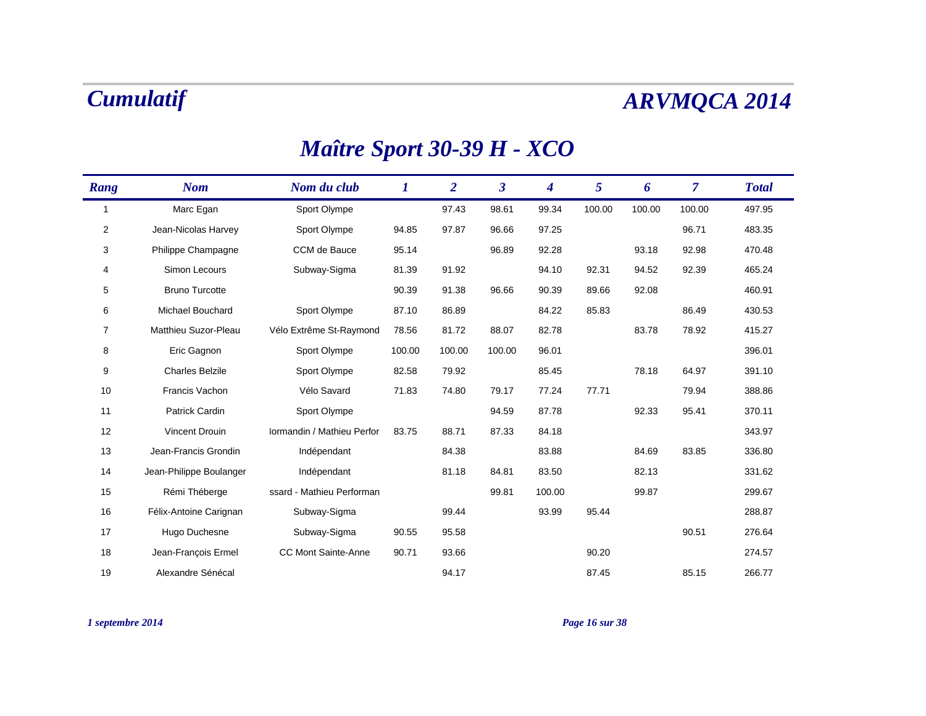### *Maître Sport 30-39 H - XCO*

| Rang         | <b>Nom</b>              | Nom du club                | 1      | $\overline{2}$ | $\overline{\mathbf{3}}$ | $\boldsymbol{4}$ | 5      | 6      | $\overline{7}$ | <b>Total</b> |
|--------------|-------------------------|----------------------------|--------|----------------|-------------------------|------------------|--------|--------|----------------|--------------|
| $\mathbf{1}$ | Marc Egan               | Sport Olympe               |        | 97.43          | 98.61                   | 99.34            | 100.00 | 100.00 | 100.00         | 497.95       |
| 2            | Jean-Nicolas Harvey     | Sport Olympe               | 94.85  | 97.87          | 96.66                   | 97.25            |        |        | 96.71          | 483.35       |
| 3            | Philippe Champagne      | CCM de Bauce               | 95.14  |                | 96.89                   | 92.28            |        | 93.18  | 92.98          | 470.48       |
| 4            | Simon Lecours           | Subway-Sigma               | 81.39  | 91.92          |                         | 94.10            | 92.31  | 94.52  | 92.39          | 465.24       |
| 5            | <b>Bruno Turcotte</b>   |                            | 90.39  | 91.38          | 96.66                   | 90.39            | 89.66  | 92.08  |                | 460.91       |
| 6            | Michael Bouchard        | Sport Olympe               | 87.10  | 86.89          |                         | 84.22            | 85.83  |        | 86.49          | 430.53       |
| 7            | Matthieu Suzor-Pleau    | Vélo Extrême St-Raymond    | 78.56  | 81.72          | 88.07                   | 82.78            |        | 83.78  | 78.92          | 415.27       |
| 8            | Eric Gagnon             | Sport Olympe               | 100.00 | 100.00         | 100.00                  | 96.01            |        |        |                | 396.01       |
| 9            | <b>Charles Belzile</b>  | Sport Olympe               | 82.58  | 79.92          |                         | 85.45            |        | 78.18  | 64.97          | 391.10       |
| 10           | Francis Vachon          | Vélo Savard                | 71.83  | 74.80          | 79.17                   | 77.24            | 77.71  |        | 79.94          | 388.86       |
| 11           | <b>Patrick Cardin</b>   | Sport Olympe               |        |                | 94.59                   | 87.78            |        | 92.33  | 95.41          | 370.11       |
| 12           | Vincent Drouin          | Iormandin / Mathieu Perfor | 83.75  | 88.71          | 87.33                   | 84.18            |        |        |                | 343.97       |
| 13           | Jean-Francis Grondin    | Indépendant                |        | 84.38          |                         | 83.88            |        | 84.69  | 83.85          | 336.80       |
| 14           | Jean-Philippe Boulanger | Indépendant                |        | 81.18          | 84.81                   | 83.50            |        | 82.13  |                | 331.62       |
| 15           | Rémi Théberge           | ssard - Mathieu Performan  |        |                | 99.81                   | 100.00           |        | 99.87  |                | 299.67       |
| 16           | Félix-Antoine Carignan  | Subway-Sigma               |        | 99.44          |                         | 93.99            | 95.44  |        |                | 288.87       |
| 17           | Hugo Duchesne           | Subway-Sigma               | 90.55  | 95.58          |                         |                  |        |        | 90.51          | 276.64       |
| 18           | Jean-Francois Ermel     | CC Mont Sainte-Anne        | 90.71  | 93.66          |                         |                  | 90.20  |        |                | 274.57       |
| 19           | Alexandre Sénécal       |                            |        | 94.17          |                         |                  | 87.45  |        | 85.15          | 266.77       |

*1 septembre 2014 Page 16 sur 38*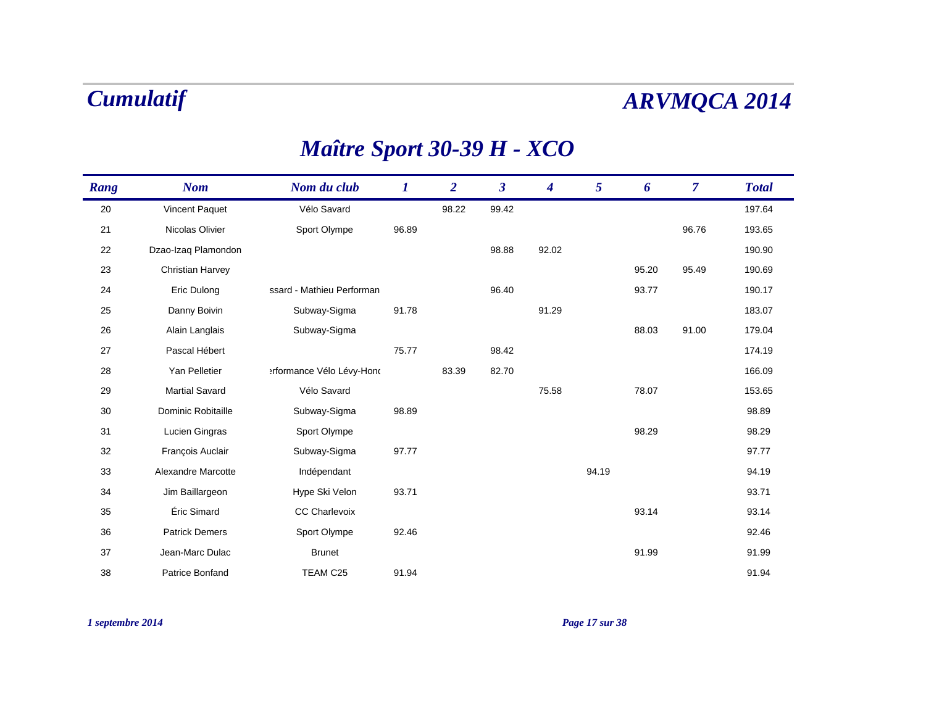### *Maître Sport 30-39 H - XCO*

| Rang | <b>Nom</b>              | Nom du club               | $\bm{l}$ | $\overline{2}$ | $\overline{\mathbf{3}}$ | 4     | 5     | 6     | $\overline{7}$ | <b>Total</b> |
|------|-------------------------|---------------------------|----------|----------------|-------------------------|-------|-------|-------|----------------|--------------|
| 20   | Vincent Paquet          | Vélo Savard               |          | 98.22          | 99.42                   |       |       |       |                | 197.64       |
| 21   | Nicolas Olivier         | Sport Olympe              | 96.89    |                |                         |       |       |       | 96.76          | 193.65       |
| 22   | Dzao-Izaq Plamondon     |                           |          |                | 98.88                   | 92.02 |       |       |                | 190.90       |
| 23   | <b>Christian Harvey</b> |                           |          |                |                         |       |       | 95.20 | 95.49          | 190.69       |
| 24   | Eric Dulong             | ssard - Mathieu Performan |          |                | 96.40                   |       |       | 93.77 |                | 190.17       |
| 25   | Danny Boivin            | Subway-Sigma              | 91.78    |                |                         | 91.29 |       |       |                | 183.07       |
| 26   | Alain Langlais          | Subway-Sigma              |          |                |                         |       |       | 88.03 | 91.00          | 179.04       |
| 27   | Pascal Hébert           |                           | 75.77    |                | 98.42                   |       |       |       |                | 174.19       |
| 28   | Yan Pelletier           | erformance Vélo Lévy-Hond |          | 83.39          | 82.70                   |       |       |       |                | 166.09       |
| 29   | <b>Martial Savard</b>   | Vélo Savard               |          |                |                         | 75.58 |       | 78.07 |                | 153.65       |
| 30   | Dominic Robitaille      | Subway-Sigma              | 98.89    |                |                         |       |       |       |                | 98.89        |
| 31   | Lucien Gingras          | Sport Olympe              |          |                |                         |       |       | 98.29 |                | 98.29        |
| 32   | François Auclair        | Subway-Sigma              | 97.77    |                |                         |       |       |       |                | 97.77        |
| 33   | Alexandre Marcotte      | Indépendant               |          |                |                         |       | 94.19 |       |                | 94.19        |
| 34   | Jim Baillargeon         | Hype Ski Velon            | 93.71    |                |                         |       |       |       |                | 93.71        |
| 35   | Éric Simard             | <b>CC Charlevoix</b>      |          |                |                         |       |       | 93.14 |                | 93.14        |
| 36   | <b>Patrick Demers</b>   | Sport Olympe              | 92.46    |                |                         |       |       |       |                | 92.46        |
| 37   | Jean-Marc Dulac         | <b>Brunet</b>             |          |                |                         |       |       | 91.99 |                | 91.99        |
| 38   | Patrice Bonfand         | TEAM C25                  | 91.94    |                |                         |       |       |       |                | 91.94        |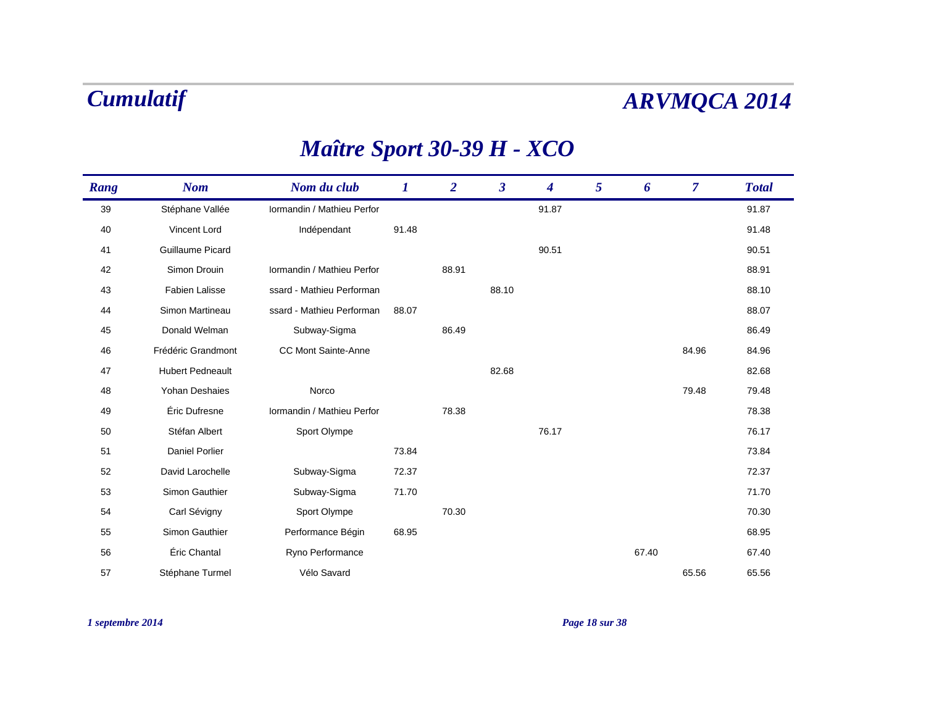## *Maître Sport 30-39 H - XCO*

| Rang | <b>Nom</b>              | Nom du club                | $\bm{I}$ | $\overline{2}$ | $\boldsymbol{\beta}$ | 4     | 5 | 6     | $\overline{7}$ | <b>Total</b> |
|------|-------------------------|----------------------------|----------|----------------|----------------------|-------|---|-------|----------------|--------------|
| 39   | Stéphane Vallée         | Iormandin / Mathieu Perfor |          |                |                      | 91.87 |   |       |                | 91.87        |
| 40   | Vincent Lord            | Indépendant                | 91.48    |                |                      |       |   |       |                | 91.48        |
| 41   | Guillaume Picard        |                            |          |                |                      | 90.51 |   |       |                | 90.51        |
| 42   | Simon Drouin            | Iormandin / Mathieu Perfor |          | 88.91          |                      |       |   |       |                | 88.91        |
| 43   | Fabien Lalisse          | ssard - Mathieu Performan  |          |                | 88.10                |       |   |       |                | 88.10        |
| 44   | Simon Martineau         | ssard - Mathieu Performan  | 88.07    |                |                      |       |   |       |                | 88.07        |
| 45   | Donald Welman           | Subway-Sigma               |          | 86.49          |                      |       |   |       |                | 86.49        |
| 46   | Frédéric Grandmont      | CC Mont Sainte-Anne        |          |                |                      |       |   |       | 84.96          | 84.96        |
| 47   | <b>Hubert Pedneault</b> |                            |          |                | 82.68                |       |   |       |                | 82.68        |
| 48   | Yohan Deshaies          | Norco                      |          |                |                      |       |   |       | 79.48          | 79.48        |
| 49   | Éric Dufresne           | Iormandin / Mathieu Perfor |          | 78.38          |                      |       |   |       |                | 78.38        |
| 50   | Stéfan Albert           | Sport Olympe               |          |                |                      | 76.17 |   |       |                | 76.17        |
| 51   | Daniel Porlier          |                            | 73.84    |                |                      |       |   |       |                | 73.84        |
| 52   | David Larochelle        | Subway-Sigma               | 72.37    |                |                      |       |   |       |                | 72.37        |
| 53   | Simon Gauthier          | Subway-Sigma               | 71.70    |                |                      |       |   |       |                | 71.70        |
| 54   | Carl Sévigny            | Sport Olympe               |          | 70.30          |                      |       |   |       |                | 70.30        |
| 55   | Simon Gauthier          | Performance Bégin          | 68.95    |                |                      |       |   |       |                | 68.95        |
| 56   | Éric Chantal            | Ryno Performance           |          |                |                      |       |   | 67.40 |                | 67.40        |
| 57   | Stéphane Turmel         | Vélo Savard                |          |                |                      |       |   |       | 65.56          | 65.56        |

*1 septembre 2014 Page 18 sur 38*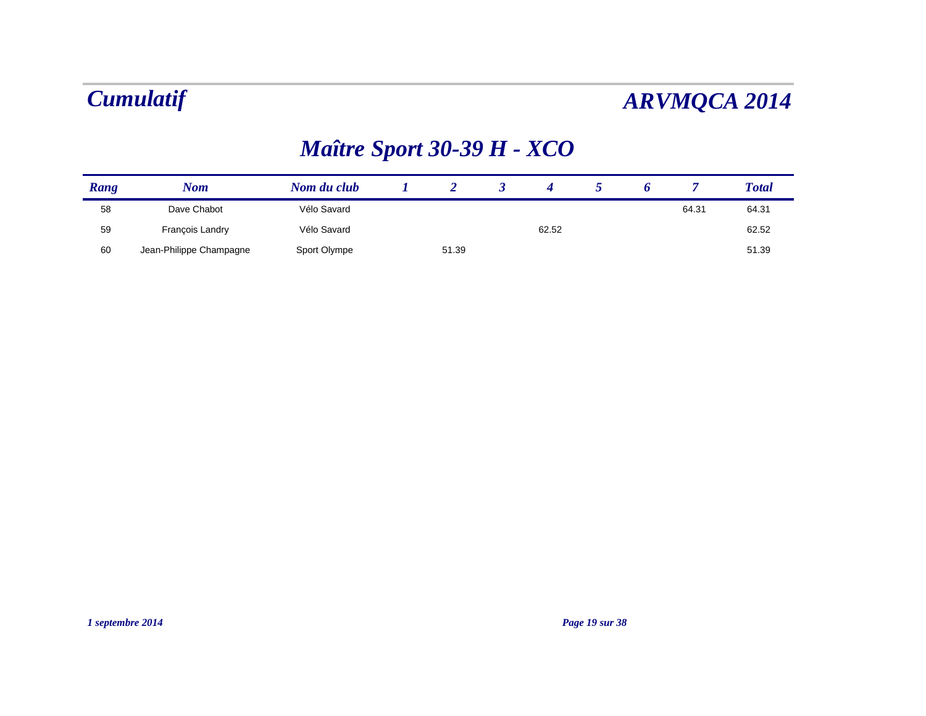## *Maître Sport 30-39 H - XCO*

| Rang | Nom                     | Nom du club  |       |       |  |       | <b>Total</b> |
|------|-------------------------|--------------|-------|-------|--|-------|--------------|
| 58   | Dave Chabot             | Vélo Savard  |       |       |  | 64.31 | 64.31        |
| 59   | Francois Landry         | Vélo Savard  |       | 62.52 |  |       | 62.52        |
| 60   | Jean-Philippe Champagne | Sport Olympe | 51.39 |       |  |       | 51.39        |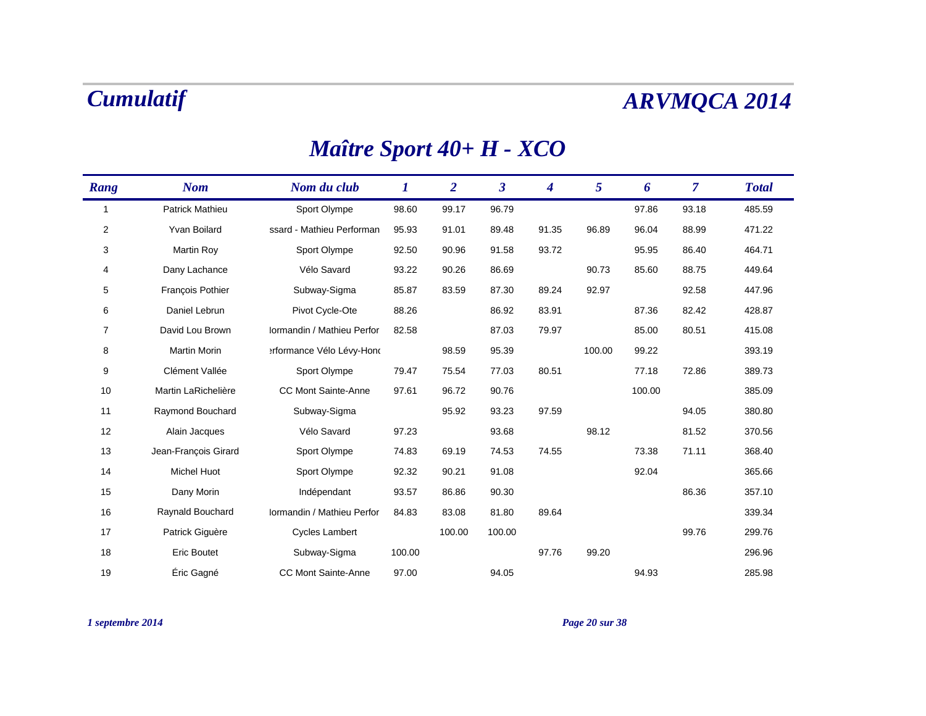### *Nom Nom du club 1 2 3 Rang 4 5 Total 6 7* 1 Patrick Mathieu Sport Olympe 98.60 99.17 96.79 97.86 93.18 485.59 2 Yvan Boilard ssard - Mathieu Performan 95.93 91.01 89.48 91.35 96.89 96.04 88.99 471.22 33 Martin Roy Sport Olympe 92.50 90.96 91.58 93.72 95.95 86.40 464.71 4 Dany Lachance Vélo Savard 93.22 90.26 86.69 90.73 85.60 88.75 449.64 5 François Pothier Subway-Sigma 85.87 83.59 87.30 89.24 92.97 92.58 447.96 6 Daniel Lebrun Pivot Cycle-Ote 88.26 86.92 83.91 87.36 82.42 428.87 7 David Lou Brown Normandin / Mathieu Perfor 82.58 87.03 79.97 85.00 80.51 415.08 8 Martin Morinerformance Vélo Lévy-Hond 98.59 95.39 100.00 99.22 393.19 9 Clément Vallée Sport Olympe 79.47 75.54 77.03 80.51 77.18 72.86 389.73 10Martin LaRichelière CC Mont Sainte-Anne 97.61 96.72 90.76 100.00 100.00 385.09 11Raymond Bouchard Subway-Sigma 95.92 93.23 97.59 94.05 94.05 380.80 12 Alain Jacques Vélo Savard 97.23 93.68 98.12 81.52 370.56 13 Jean-François Girard Sport Olympe 74.83 69.19 74.53 74.55 73.38 71.11 368.40 14 Michel Huot Sport Olympe 92.32 90.21 91.08 92.04 365.66 15 Dany Morin Indépendant 93.57 86.86 90.30 86.36 357.10 16Raynald Bouchard Mormandin / Mathieu Perfor 84.83 83.08 81.80 89.64 339.34 339.34 17 Patrick Giguère Cycles Lambert 100.00 100.00 99.76 299.76 18Eric Boutet Subway-Sigma 100.00 97.76 99.20 296.96

Éric Gagné CC Mont Sainte-Anne 97.00 94.05 94.93 285.98

### *Maître Sport 40+ H - XCO*

*1 septembre 2014 Page 20 sur 38*

19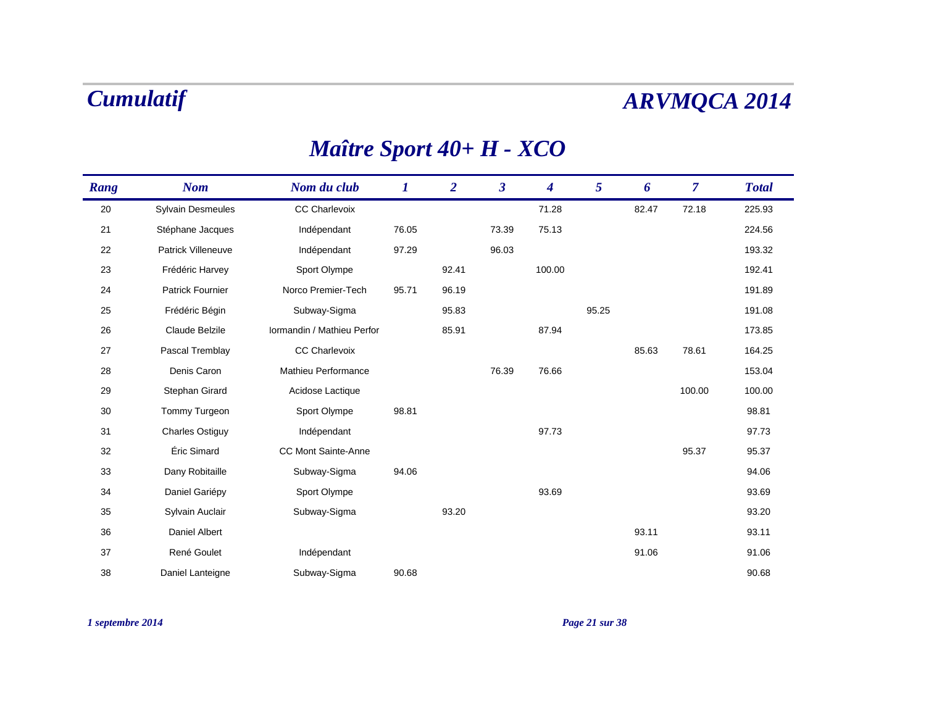## *Maître Sport 40+ H - XCO*

| Rang | <b>Nom</b>               | Nom du club                | $\bm{l}$ | $\overline{2}$ | $\boldsymbol{\beta}$ | $\boldsymbol{4}$ | 5     | 6     | $\overline{7}$ | <b>Total</b> |
|------|--------------------------|----------------------------|----------|----------------|----------------------|------------------|-------|-------|----------------|--------------|
| 20   | <b>Sylvain Desmeules</b> | <b>CC Charlevoix</b>       |          |                |                      | 71.28            |       | 82.47 | 72.18          | 225.93       |
| 21   | Stéphane Jacques         | Indépendant                | 76.05    |                | 73.39                | 75.13            |       |       |                | 224.56       |
| 22   | Patrick Villeneuve       | Indépendant                | 97.29    |                | 96.03                |                  |       |       |                | 193.32       |
| 23   | Frédéric Harvey          | Sport Olympe               |          | 92.41          |                      | 100.00           |       |       |                | 192.41       |
| 24   | <b>Patrick Fournier</b>  | Norco Premier-Tech         | 95.71    | 96.19          |                      |                  |       |       |                | 191.89       |
| 25   | Frédéric Bégin           | Subway-Sigma               |          | 95.83          |                      |                  | 95.25 |       |                | 191.08       |
| 26   | Claude Belzile           | Iormandin / Mathieu Perfor |          | 85.91          |                      | 87.94            |       |       |                | 173.85       |
| 27   | Pascal Tremblay          | <b>CC Charlevoix</b>       |          |                |                      |                  |       | 85.63 | 78.61          | 164.25       |
| 28   | Denis Caron              | Mathieu Performance        |          |                | 76.39                | 76.66            |       |       |                | 153.04       |
| 29   | Stephan Girard           | Acidose Lactique           |          |                |                      |                  |       |       | 100.00         | 100.00       |
| 30   | Tommy Turgeon            | Sport Olympe               | 98.81    |                |                      |                  |       |       |                | 98.81        |
| 31   | <b>Charles Ostiguy</b>   | Indépendant                |          |                |                      | 97.73            |       |       |                | 97.73        |
| 32   | Éric Simard              | <b>CC Mont Sainte-Anne</b> |          |                |                      |                  |       |       | 95.37          | 95.37        |
| 33   | Dany Robitaille          | Subway-Sigma               | 94.06    |                |                      |                  |       |       |                | 94.06        |
| 34   | Daniel Gariépy           | Sport Olympe               |          |                |                      | 93.69            |       |       |                | 93.69        |
| 35   | Sylvain Auclair          | Subway-Sigma               |          | 93.20          |                      |                  |       |       |                | 93.20        |
| 36   | <b>Daniel Albert</b>     |                            |          |                |                      |                  |       | 93.11 |                | 93.11        |
| 37   | René Goulet              | Indépendant                |          |                |                      |                  |       | 91.06 |                | 91.06        |
| 38   | Daniel Lanteigne         | Subway-Sigma               | 90.68    |                |                      |                  |       |       |                | 90.68        |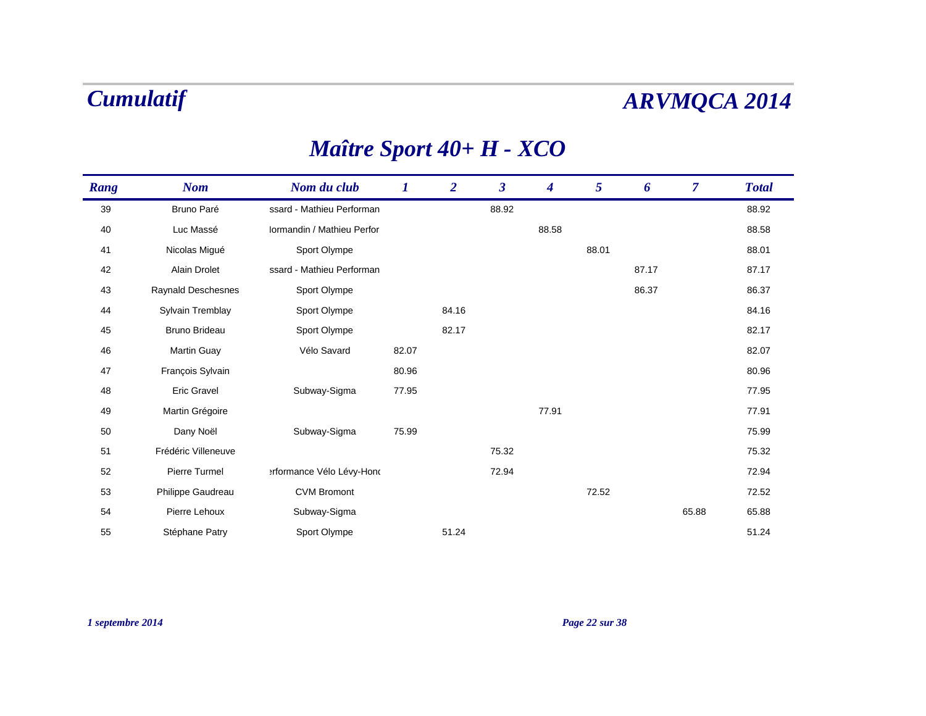## *Maître Sport 40+ H - XCO*

| Rang | <b>Nom</b>           | Nom du club                | 1     | $\overline{2}$ | $\boldsymbol{\beta}$ | 4     | 5     | 6     | $\overline{7}$ | <b>Total</b> |
|------|----------------------|----------------------------|-------|----------------|----------------------|-------|-------|-------|----------------|--------------|
| 39   | Bruno Paré           | ssard - Mathieu Performan  |       |                | 88.92                |       |       |       |                | 88.92        |
| 40   | Luc Massé            | Iormandin / Mathieu Perfor |       |                |                      | 88.58 |       |       |                | 88.58        |
| 41   | Nicolas Migué        | Sport Olympe               |       |                |                      |       | 88.01 |       |                | 88.01        |
| 42   | <b>Alain Drolet</b>  | ssard - Mathieu Performan  |       |                |                      |       |       | 87.17 |                | 87.17        |
| 43   | Raynald Deschesnes   | Sport Olympe               |       |                |                      |       |       | 86.37 |                | 86.37        |
| 44   | Sylvain Tremblay     | Sport Olympe               |       | 84.16          |                      |       |       |       |                | 84.16        |
| 45   | <b>Bruno Brideau</b> | Sport Olympe               |       | 82.17          |                      |       |       |       |                | 82.17        |
| 46   | Martin Guay          | Vélo Savard                | 82.07 |                |                      |       |       |       |                | 82.07        |
| 47   | François Sylvain     |                            | 80.96 |                |                      |       |       |       |                | 80.96        |
| 48   | <b>Eric Gravel</b>   | Subway-Sigma               | 77.95 |                |                      |       |       |       |                | 77.95        |
| 49   | Martin Grégoire      |                            |       |                |                      | 77.91 |       |       |                | 77.91        |
| 50   | Dany Noël            | Subway-Sigma               | 75.99 |                |                      |       |       |       |                | 75.99        |
| 51   | Frédéric Villeneuve  |                            |       |                | 75.32                |       |       |       |                | 75.32        |
| 52   | Pierre Turmel        | erformance Vélo Lévy-Hond  |       |                | 72.94                |       |       |       |                | 72.94        |
| 53   | Philippe Gaudreau    | <b>CVM Bromont</b>         |       |                |                      |       | 72.52 |       |                | 72.52        |
| 54   | Pierre Lehoux        | Subway-Sigma               |       |                |                      |       |       |       | 65.88          | 65.88        |
| 55   | Stéphane Patry       | Sport Olympe               |       | 51.24          |                      |       |       |       |                | 51.24        |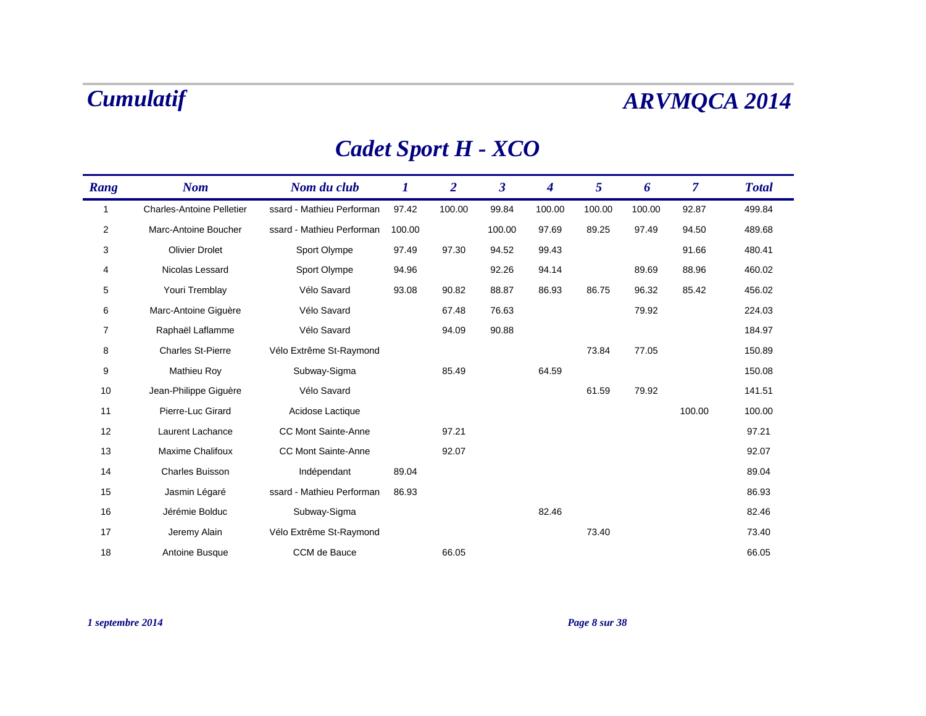## *Cadet Sport H - XCO*

| Rang         | <b>Nom</b>                       | Nom du club                | 1      | $\overline{2}$ | $\overline{\mathbf{3}}$ | 4      | 5      | 6      | 7      | <b>Total</b> |
|--------------|----------------------------------|----------------------------|--------|----------------|-------------------------|--------|--------|--------|--------|--------------|
| $\mathbf{1}$ | <b>Charles-Antoine Pelletier</b> | ssard - Mathieu Performan  | 97.42  | 100.00         | 99.84                   | 100.00 | 100.00 | 100.00 | 92.87  | 499.84       |
| 2            | Marc-Antoine Boucher             | ssard - Mathieu Performan  | 100.00 |                | 100.00                  | 97.69  | 89.25  | 97.49  | 94.50  | 489.68       |
| 3            | <b>Olivier Drolet</b>            | Sport Olympe               | 97.49  | 97.30          | 94.52                   | 99.43  |        |        | 91.66  | 480.41       |
| 4            | Nicolas Lessard                  | Sport Olympe               | 94.96  |                | 92.26                   | 94.14  |        | 89.69  | 88.96  | 460.02       |
| 5            | Youri Tremblay                   | Vélo Savard                | 93.08  | 90.82          | 88.87                   | 86.93  | 86.75  | 96.32  | 85.42  | 456.02       |
| 6            | Marc-Antoine Giguère             | Vélo Savard                |        | 67.48          | 76.63                   |        |        | 79.92  |        | 224.03       |
| 7            | Raphaël Laflamme                 | Vélo Savard                |        | 94.09          | 90.88                   |        |        |        |        | 184.97       |
| 8            | <b>Charles St-Pierre</b>         | Vélo Extrême St-Raymond    |        |                |                         |        | 73.84  | 77.05  |        | 150.89       |
| 9            | Mathieu Roy                      | Subway-Sigma               |        | 85.49          |                         | 64.59  |        |        |        | 150.08       |
| 10           | Jean-Philippe Giguère            | Vélo Savard                |        |                |                         |        | 61.59  | 79.92  |        | 141.51       |
| 11           | Pierre-Luc Girard                | Acidose Lactique           |        |                |                         |        |        |        | 100.00 | 100.00       |
| 12           | Laurent Lachance                 | <b>CC Mont Sainte-Anne</b> |        | 97.21          |                         |        |        |        |        | 97.21        |
| 13           | Maxime Chalifoux                 | <b>CC Mont Sainte-Anne</b> |        | 92.07          |                         |        |        |        |        | 92.07        |
| 14           | <b>Charles Buisson</b>           | Indépendant                | 89.04  |                |                         |        |        |        |        | 89.04        |
| 15           | Jasmin Légaré                    | ssard - Mathieu Performan  | 86.93  |                |                         |        |        |        |        | 86.93        |
| 16           | Jérémie Bolduc                   | Subway-Sigma               |        |                |                         | 82.46  |        |        |        | 82.46        |
| 17           | Jeremy Alain                     | Vélo Extrême St-Raymond    |        |                |                         |        | 73.40  |        |        | 73.40        |
| 18           | Antoine Busque                   | CCM de Bauce               |        | 66.05          |                         |        |        |        |        | 66.05        |

### *1 septembre 2014 Page 8 sur 38*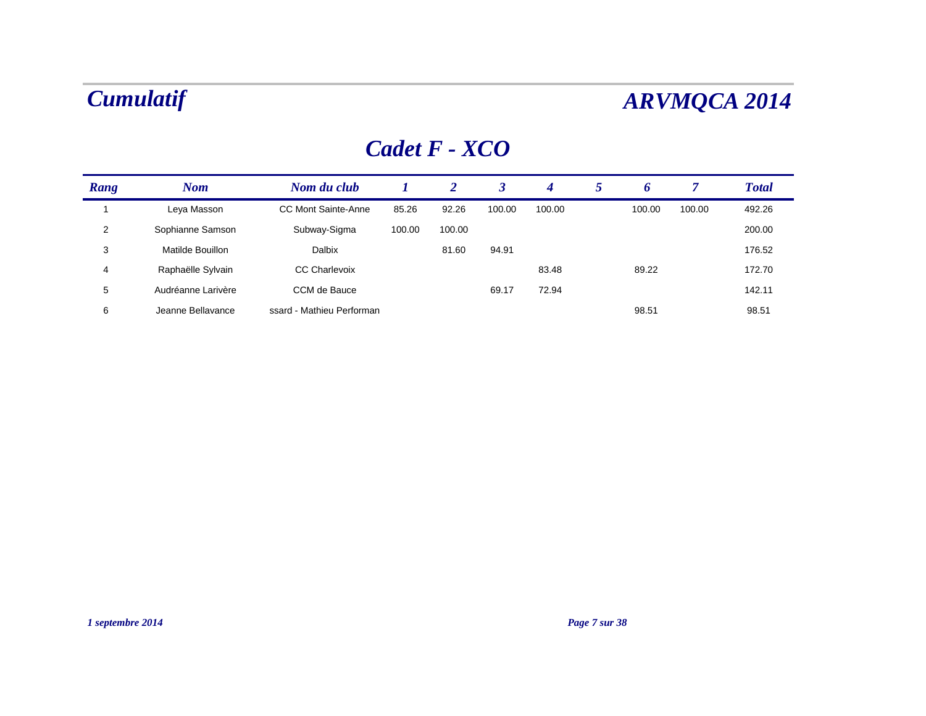### *Cadet F - XCO*

| Rang           | <b>Nom</b>         | Nom du club                |        | 2      |        | 4      | 5 | o      |        | <b>Total</b> |
|----------------|--------------------|----------------------------|--------|--------|--------|--------|---|--------|--------|--------------|
|                | Leya Masson        | <b>CC Mont Sainte-Anne</b> | 85.26  | 92.26  | 100.00 | 100.00 |   | 100.00 | 100.00 | 492.26       |
| $\overline{2}$ | Sophianne Samson   | Subway-Sigma               | 100.00 | 100.00 |        |        |   |        |        | 200.00       |
| 3              | Matilde Bouillon   | Dalbix                     |        | 81.60  | 94.91  |        |   |        |        | 176.52       |
| $\overline{4}$ | Raphaëlle Sylvain  | <b>CC Charlevoix</b>       |        |        |        | 83.48  |   | 89.22  |        | 172.70       |
| 5              | Audréanne Larivère | CCM de Bauce               |        |        | 69.17  | 72.94  |   |        |        | 142.11       |
| 6              | Jeanne Bellavance  | ssard - Mathieu Performan  |        |        |        |        |   | 98.51  |        | 98.51        |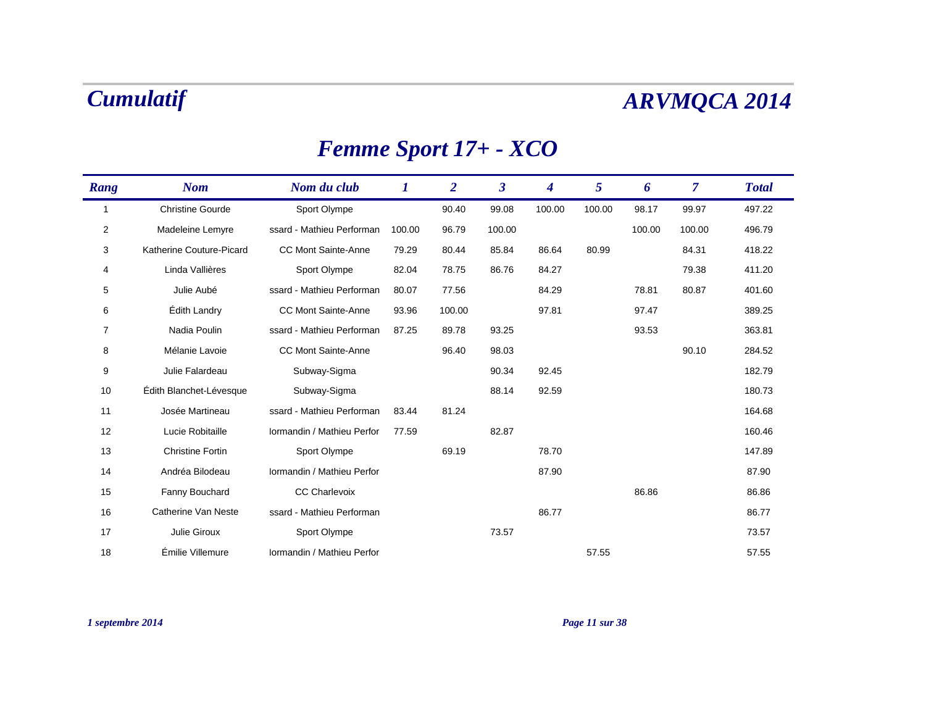## *Femme Sport 17+ - XCO*

| Rang           | <b>Nom</b>               | Nom du club                | 1      | $\overline{2}$ | $\boldsymbol{\beta}$ | 4      | 5      | 6      | $\overline{7}$ | <b>Total</b> |
|----------------|--------------------------|----------------------------|--------|----------------|----------------------|--------|--------|--------|----------------|--------------|
| 1              | <b>Christine Gourde</b>  | Sport Olympe               |        | 90.40          | 99.08                | 100.00 | 100.00 | 98.17  | 99.97          | 497.22       |
| 2              | Madeleine Lemyre         | ssard - Mathieu Performan  | 100.00 | 96.79          | 100.00               |        |        | 100.00 | 100.00         | 496.79       |
| 3              | Katherine Couture-Picard | <b>CC Mont Sainte-Anne</b> | 79.29  | 80.44          | 85.84                | 86.64  | 80.99  |        | 84.31          | 418.22       |
| 4              | Linda Vallières          | Sport Olympe               | 82.04  | 78.75          | 86.76                | 84.27  |        |        | 79.38          | 411.20       |
| 5              | Julie Aubé               | ssard - Mathieu Performan  | 80.07  | 77.56          |                      | 84.29  |        | 78.81  | 80.87          | 401.60       |
| 6              | <b>Edith Landry</b>      | <b>CC Mont Sainte-Anne</b> | 93.96  | 100.00         |                      | 97.81  |        | 97.47  |                | 389.25       |
| $\overline{7}$ | Nadia Poulin             | ssard - Mathieu Performan  | 87.25  | 89.78          | 93.25                |        |        | 93.53  |                | 363.81       |
| 8              | Mélanie Lavoie           | <b>CC Mont Sainte-Anne</b> |        | 96.40          | 98.03                |        |        |        | 90.10          | 284.52       |
| 9              | Julie Falardeau          | Subway-Sigma               |        |                | 90.34                | 92.45  |        |        |                | 182.79       |
| 10             | Édith Blanchet-Lévesque  | Subway-Sigma               |        |                | 88.14                | 92.59  |        |        |                | 180.73       |
| 11             | Josée Martineau          | ssard - Mathieu Performan  | 83.44  | 81.24          |                      |        |        |        |                | 164.68       |
| 12             | Lucie Robitaille         | Iormandin / Mathieu Perfor | 77.59  |                | 82.87                |        |        |        |                | 160.46       |
| 13             | <b>Christine Fortin</b>  | Sport Olympe               |        | 69.19          |                      | 78.70  |        |        |                | 147.89       |
| 14             | Andréa Bilodeau          | Iormandin / Mathieu Perfor |        |                |                      | 87.90  |        |        |                | 87.90        |
| 15             | Fanny Bouchard           | <b>CC Charlevoix</b>       |        |                |                      |        |        | 86.86  |                | 86.86        |
| 16             | Catherine Van Neste      | ssard - Mathieu Performan  |        |                |                      | 86.77  |        |        |                | 86.77        |
| 17             | Julie Giroux             | Sport Olympe               |        |                | 73.57                |        |        |        |                | 73.57        |
| 18             | Émilie Villemure         | Iormandin / Mathieu Perfor |        |                |                      |        | 57.55  |        |                | 57.55        |

### *1 septembre 2014 Page 11 sur 38*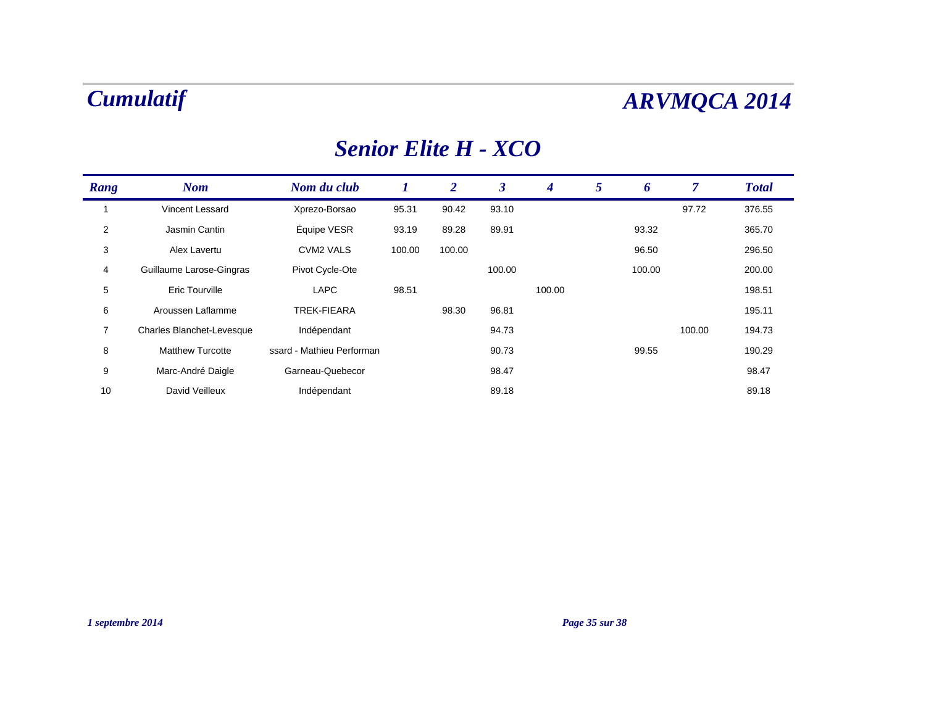### *Senior Elite H - XCO*

| Rang           | <b>Nom</b>                | Nom du club               | 1      | 2      | 3      | $\boldsymbol{4}$ | 5 | 6      | 7      | <b>Total</b> |  |
|----------------|---------------------------|---------------------------|--------|--------|--------|------------------|---|--------|--------|--------------|--|
|                | Vincent Lessard           | Xprezo-Borsao             | 95.31  | 90.42  | 93.10  |                  |   |        | 97.72  | 376.55       |  |
| $\overline{2}$ | Jasmin Cantin             | Équipe VESR               | 93.19  | 89.28  | 89.91  |                  |   | 93.32  |        | 365.70       |  |
| 3              | Alex Lavertu              | <b>CVM2 VALS</b>          | 100.00 | 100.00 |        |                  |   | 96.50  |        | 296.50       |  |
| $\overline{4}$ | Guillaume Larose-Gingras  | Pivot Cycle-Ote           |        |        | 100.00 |                  |   | 100.00 |        | 200.00       |  |
| 5              | <b>Eric Tourville</b>     | <b>LAPC</b>               | 98.51  |        |        | 100.00           |   |        |        | 198.51       |  |
| 6              | Aroussen Laflamme         | <b>TREK-FIEARA</b>        |        | 98.30  | 96.81  |                  |   |        |        | 195.11       |  |
| $\overline{7}$ | Charles Blanchet-Levesque | Indépendant               |        |        | 94.73  |                  |   |        | 100.00 | 194.73       |  |
| 8              | <b>Matthew Turcotte</b>   | ssard - Mathieu Performan |        |        | 90.73  |                  |   | 99.55  |        | 190.29       |  |
| 9              | Marc-André Daigle         | Garneau-Quebecor          |        |        | 98.47  |                  |   |        |        | 98.47        |  |
| 10             | David Veilleux            | Indépendant               |        |        | 89.18  |                  |   |        |        | 89.18        |  |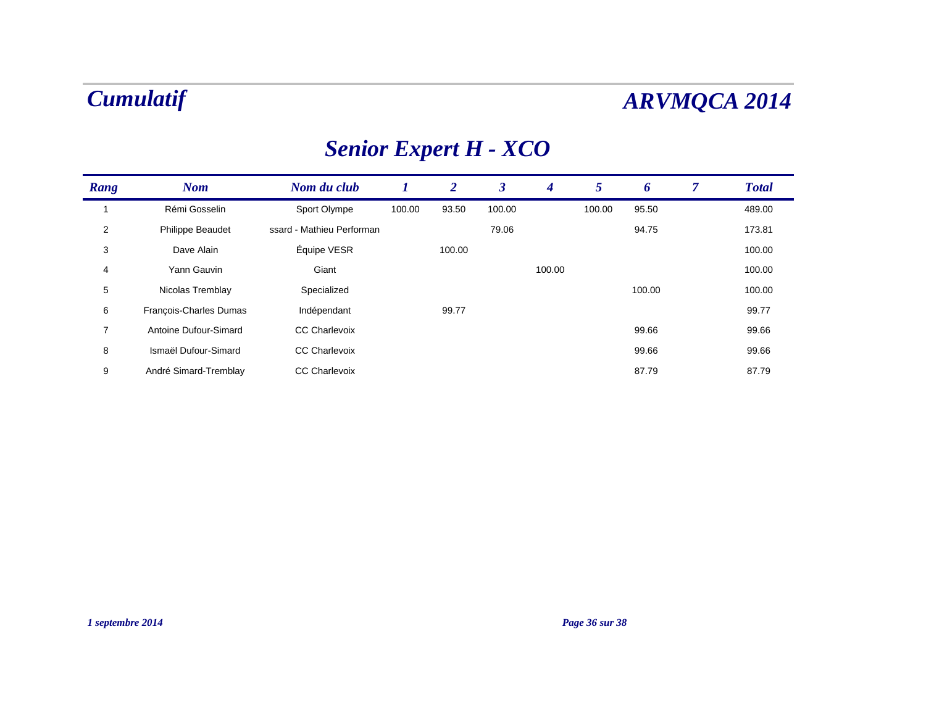# *Senior Expert H - XCO*

| Rang           | <b>Nom</b>              | Nom du club               |        | $\overline{2}$ | 3      | $\boldsymbol{4}$ | 5      | 6      | 7 | <b>Total</b> |
|----------------|-------------------------|---------------------------|--------|----------------|--------|------------------|--------|--------|---|--------------|
|                | Rémi Gosselin           | Sport Olympe              | 100.00 | 93.50          | 100.00 |                  | 100.00 | 95.50  |   | 489.00       |
| 2              | <b>Philippe Beaudet</b> | ssard - Mathieu Performan |        |                | 79.06  |                  |        | 94.75  |   | 173.81       |
| 3              | Dave Alain              | Équipe VESR               |        | 100.00         |        |                  |        |        |   | 100.00       |
| 4              | Yann Gauvin             | Giant                     |        |                |        | 100.00           |        |        |   | 100.00       |
| 5              | Nicolas Tremblay        | Specialized               |        |                |        |                  |        | 100.00 |   | 100.00       |
| 6              | François-Charles Dumas  | Indépendant               |        | 99.77          |        |                  |        |        |   | 99.77        |
| $\overline{7}$ | Antoine Dufour-Simard   | <b>CC Charlevoix</b>      |        |                |        |                  |        | 99.66  |   | 99.66        |
| 8              | Ismaël Dufour-Simard    | <b>CC Charlevoix</b>      |        |                |        |                  |        | 99.66  |   | 99.66        |
| 9              | André Simard-Tremblay   | <b>CC Charlevoix</b>      |        |                |        |                  |        | 87.79  |   | 87.79        |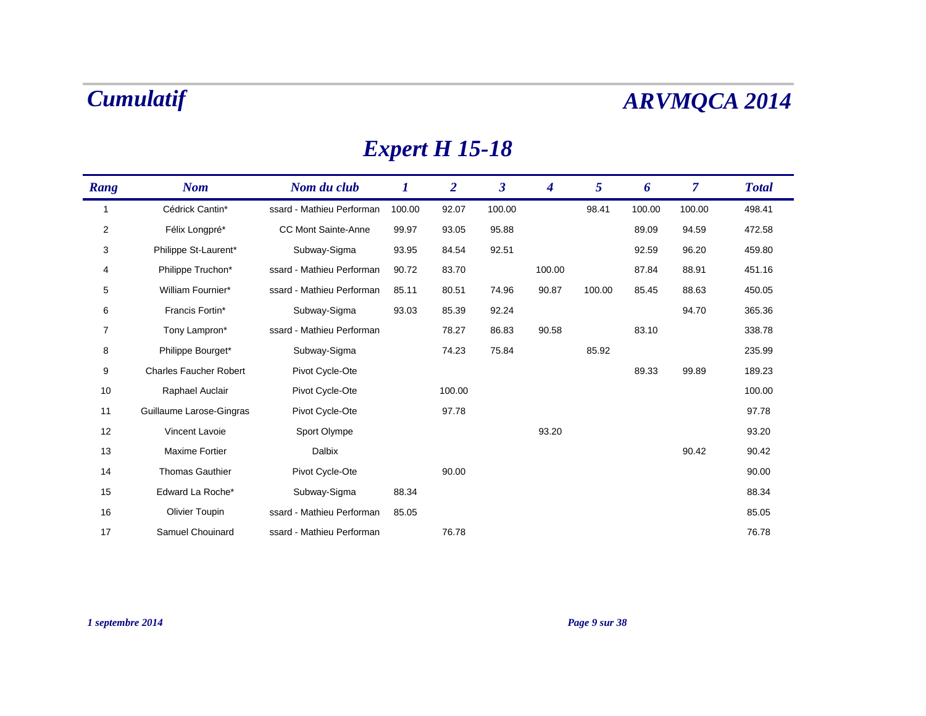## *Expert H 15-18*

| Rang           | <b>Nom</b>                    | Nom du club                | 1      | $\overline{2}$ | $\boldsymbol{\beta}$ | 4      | 5      | 6      | $\overline{7}$ | <b>Total</b> |
|----------------|-------------------------------|----------------------------|--------|----------------|----------------------|--------|--------|--------|----------------|--------------|
| -1             | Cédrick Cantin*               | ssard - Mathieu Performan  | 100.00 | 92.07          | 100.00               |        | 98.41  | 100.00 | 100.00         | 498.41       |
| 2              | Félix Longpré*                | <b>CC Mont Sainte-Anne</b> | 99.97  | 93.05          | 95.88                |        |        | 89.09  | 94.59          | 472.58       |
| 3              | Philippe St-Laurent*          | Subway-Sigma               | 93.95  | 84.54          | 92.51                |        |        | 92.59  | 96.20          | 459.80       |
| 4              | Philippe Truchon*             | ssard - Mathieu Performan  | 90.72  | 83.70          |                      | 100.00 |        | 87.84  | 88.91          | 451.16       |
| 5              | William Fournier*             | ssard - Mathieu Performan  | 85.11  | 80.51          | 74.96                | 90.87  | 100.00 | 85.45  | 88.63          | 450.05       |
| 6              | Francis Fortin*               | Subway-Sigma               | 93.03  | 85.39          | 92.24                |        |        |        | 94.70          | 365.36       |
| $\overline{7}$ | Tony Lampron*                 | ssard - Mathieu Performan  |        | 78.27          | 86.83                | 90.58  |        | 83.10  |                | 338.78       |
| 8              | Philippe Bourget*             | Subway-Sigma               |        | 74.23          | 75.84                |        | 85.92  |        |                | 235.99       |
| 9              | <b>Charles Faucher Robert</b> | Pivot Cycle-Ote            |        |                |                      |        |        | 89.33  | 99.89          | 189.23       |
| 10             | Raphael Auclair               | Pivot Cycle-Ote            |        | 100.00         |                      |        |        |        |                | 100.00       |
| 11             | Guillaume Larose-Gingras      | Pivot Cycle-Ote            |        | 97.78          |                      |        |        |        |                | 97.78        |
| 12             | Vincent Lavoie                | Sport Olympe               |        |                |                      | 93.20  |        |        |                | 93.20        |
| 13             | <b>Maxime Fortier</b>         | <b>Dalbix</b>              |        |                |                      |        |        |        | 90.42          | 90.42        |
| 14             | <b>Thomas Gauthier</b>        | Pivot Cycle-Ote            |        | 90.00          |                      |        |        |        |                | 90.00        |
| 15             | Edward La Roche*              | Subway-Sigma               | 88.34  |                |                      |        |        |        |                | 88.34        |
| 16             | <b>Olivier Toupin</b>         | ssard - Mathieu Performan  | 85.05  |                |                      |        |        |        |                | 85.05        |
| 17             | Samuel Chouinard              | ssard - Mathieu Performan  |        | 76.78          |                      |        |        |        |                | 76.78        |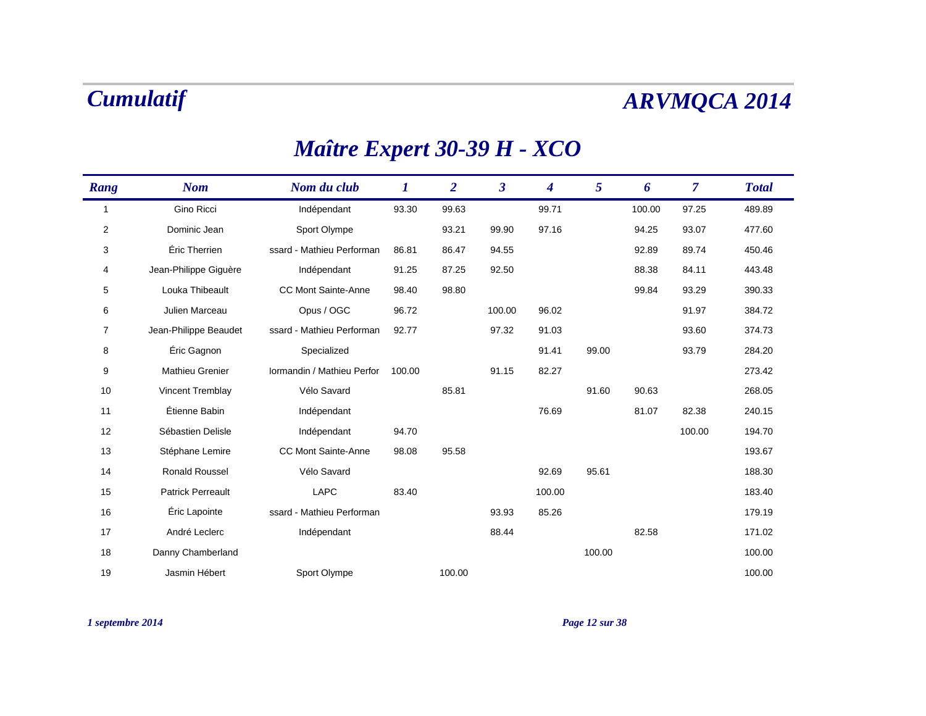| Rang           | <b>Nom</b>               | Nom du club                | $\bm{l}$ | $\overline{2}$ | $\boldsymbol{\beta}$ | $\overline{\mathbf{4}}$ | 5      | 6      | $\overline{\mathcal{L}}$ | <b>Total</b> |
|----------------|--------------------------|----------------------------|----------|----------------|----------------------|-------------------------|--------|--------|--------------------------|--------------|
| $\mathbf{1}$   | Gino Ricci               | Indépendant                | 93.30    | 99.63          |                      | 99.71                   |        | 100.00 | 97.25                    | 489.89       |
| $\overline{2}$ | Dominic Jean             | Sport Olympe               |          | 93.21          | 99.90                | 97.16                   |        | 94.25  | 93.07                    | 477.60       |
| 3              | Éric Therrien            | ssard - Mathieu Performan  | 86.81    | 86.47          | 94.55                |                         |        | 92.89  | 89.74                    | 450.46       |
| 4              | Jean-Philippe Giquère    | Indépendant                | 91.25    | 87.25          | 92.50                |                         |        | 88.38  | 84.11                    | 443.48       |
| 5              | Louka Thibeault          | <b>CC Mont Sainte-Anne</b> | 98.40    | 98.80          |                      |                         |        | 99.84  | 93.29                    | 390.33       |
| 6              | Julien Marceau           | Opus / OGC                 | 96.72    |                | 100.00               | 96.02                   |        |        | 91.97                    | 384.72       |
| $\overline{7}$ | Jean-Philippe Beaudet    | ssard - Mathieu Performan  | 92.77    |                | 97.32                | 91.03                   |        |        | 93.60                    | 374.73       |
| 8              | Éric Gagnon              | Specialized                |          |                |                      | 91.41                   | 99.00  |        | 93.79                    | 284.20       |
| 9              | Mathieu Grenier          | Iormandin / Mathieu Perfor | 100.00   |                | 91.15                | 82.27                   |        |        |                          | 273.42       |
| 10             | Vincent Tremblay         | Vélo Savard                |          | 85.81          |                      |                         | 91.60  | 90.63  |                          | 268.05       |
| 11             | Étienne Babin            | Indépendant                |          |                |                      | 76.69                   |        | 81.07  | 82.38                    | 240.15       |
| 12             | Sébastien Delisle        | Indépendant                | 94.70    |                |                      |                         |        |        | 100.00                   | 194.70       |
| 13             | Stéphane Lemire          | <b>CC Mont Sainte-Anne</b> | 98.08    | 95.58          |                      |                         |        |        |                          | 193.67       |
| 14             | <b>Ronald Roussel</b>    | Vélo Savard                |          |                |                      | 92.69                   | 95.61  |        |                          | 188.30       |
| 15             | <b>Patrick Perreault</b> | <b>LAPC</b>                | 83.40    |                |                      | 100.00                  |        |        |                          | 183.40       |
| 16             | Éric Lapointe            | ssard - Mathieu Performan  |          |                | 93.93                | 85.26                   |        |        |                          | 179.19       |
| 17             | André Leclerc            | Indépendant                |          |                | 88.44                |                         |        | 82.58  |                          | 171.02       |
| 18             | Danny Chamberland        |                            |          |                |                      |                         | 100.00 |        |                          | 100.00       |
| 19             | Jasmin Hébert            | Sport Olympe               |          | 100.00         |                      |                         |        |        |                          | 100.00       |

### *Maître Expert 30-39 H - XCO*

*1 septembre 2014 Page 12 sur 38*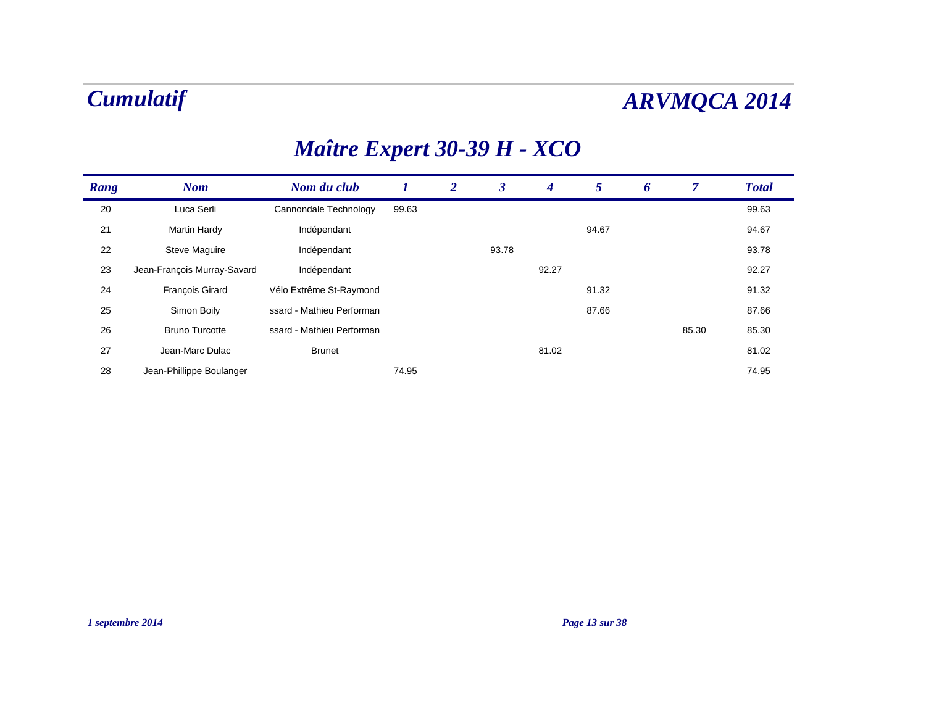### *Nom Nom du club 1 2 3* $\mathbf{3}$ *Rang 4 5 Total*  $\boldsymbol{6}$  $\overline{7}$

### *Maître Expert 30-39 H - XCO*

| 20 | Luca Serli                  | Cannondale Technology     | 99.63 |       |       |       |       | 99.63 |
|----|-----------------------------|---------------------------|-------|-------|-------|-------|-------|-------|
| 21 | <b>Martin Hardy</b>         | Indépendant               |       |       |       | 94.67 |       | 94.67 |
| 22 | <b>Steve Maguire</b>        | Indépendant               |       | 93.78 |       |       |       | 93.78 |
| 23 | Jean-François Murray-Savard | Indépendant               |       |       | 92.27 |       |       | 92.27 |
| 24 | <b>François Girard</b>      | Vélo Extrême St-Raymond   |       |       |       | 91.32 |       | 91.32 |
| 25 | Simon Boily                 | ssard - Mathieu Performan |       |       |       | 87.66 |       | 87.66 |
| 26 | <b>Bruno Turcotte</b>       | ssard - Mathieu Performan |       |       |       |       | 85.30 | 85.30 |
| 27 | Jean-Marc Dulac             | <b>Brunet</b>             |       |       | 81.02 |       |       | 81.02 |
| 28 | Jean-Phillippe Boulanger    |                           | 74.95 |       |       |       |       | 74.95 |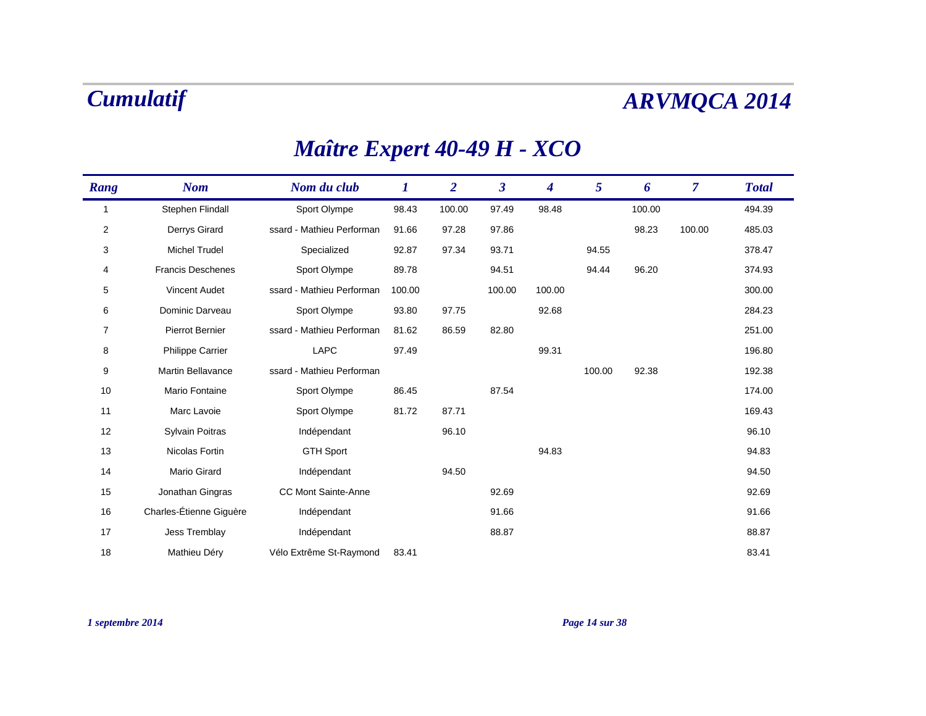| Rang | <b>Nom</b>               | Nom du club                | 1      | $\boldsymbol{2}$ | $\boldsymbol{\beta}$ | 4      | 5      | 6      | $\overline{7}$ | <b>Total</b> |
|------|--------------------------|----------------------------|--------|------------------|----------------------|--------|--------|--------|----------------|--------------|
| 1    | Stephen Flindall         | Sport Olympe               | 98.43  | 100.00           | 97.49                | 98.48  |        | 100.00 |                | 494.39       |
| 2    | Derrys Girard            | ssard - Mathieu Performan  | 91.66  | 97.28            | 97.86                |        |        | 98.23  | 100.00         | 485.03       |
| 3    | <b>Michel Trudel</b>     | Specialized                | 92.87  | 97.34            | 93.71                |        | 94.55  |        |                | 378.47       |
| 4    | <b>Francis Deschenes</b> | Sport Olympe               | 89.78  |                  | 94.51                |        | 94.44  | 96.20  |                | 374.93       |
| 5    | <b>Vincent Audet</b>     | ssard - Mathieu Performan  | 100.00 |                  | 100.00               | 100.00 |        |        |                | 300.00       |
| 6    | Dominic Darveau          | Sport Olympe               | 93.80  | 97.75            |                      | 92.68  |        |        |                | 284.23       |
| 7    | Pierrot Bernier          | ssard - Mathieu Performan  | 81.62  | 86.59            | 82.80                |        |        |        |                | 251.00       |
| 8    | <b>Philippe Carrier</b>  | <b>LAPC</b>                | 97.49  |                  |                      | 99.31  |        |        |                | 196.80       |
| 9    | <b>Martin Bellavance</b> | ssard - Mathieu Performan  |        |                  |                      |        | 100.00 | 92.38  |                | 192.38       |
| 10   | Mario Fontaine           | Sport Olympe               | 86.45  |                  | 87.54                |        |        |        |                | 174.00       |
| 11   | Marc Lavoie              | Sport Olympe               | 81.72  | 87.71            |                      |        |        |        |                | 169.43       |
| 12   | Sylvain Poitras          | Indépendant                |        | 96.10            |                      |        |        |        |                | 96.10        |
| 13   | Nicolas Fortin           | <b>GTH Sport</b>           |        |                  |                      | 94.83  |        |        |                | 94.83        |
| 14   | Mario Girard             | Indépendant                |        | 94.50            |                      |        |        |        |                | 94.50        |
| 15   | Jonathan Gingras         | <b>CC Mont Sainte-Anne</b> |        |                  | 92.69                |        |        |        |                | 92.69        |
| 16   | Charles-Étienne Giguère  | Indépendant                |        |                  | 91.66                |        |        |        |                | 91.66        |
| 17   | Jess Tremblay            | Indépendant                |        |                  | 88.87                |        |        |        |                | 88.87        |
| 18   | Mathieu Déry             | Vélo Extrême St-Raymond    | 83.41  |                  |                      |        |        |        |                | 83.41        |

## *Maître Expert 40-49 H - XCO*

### *1 septembre 2014 Page 14 sur 38*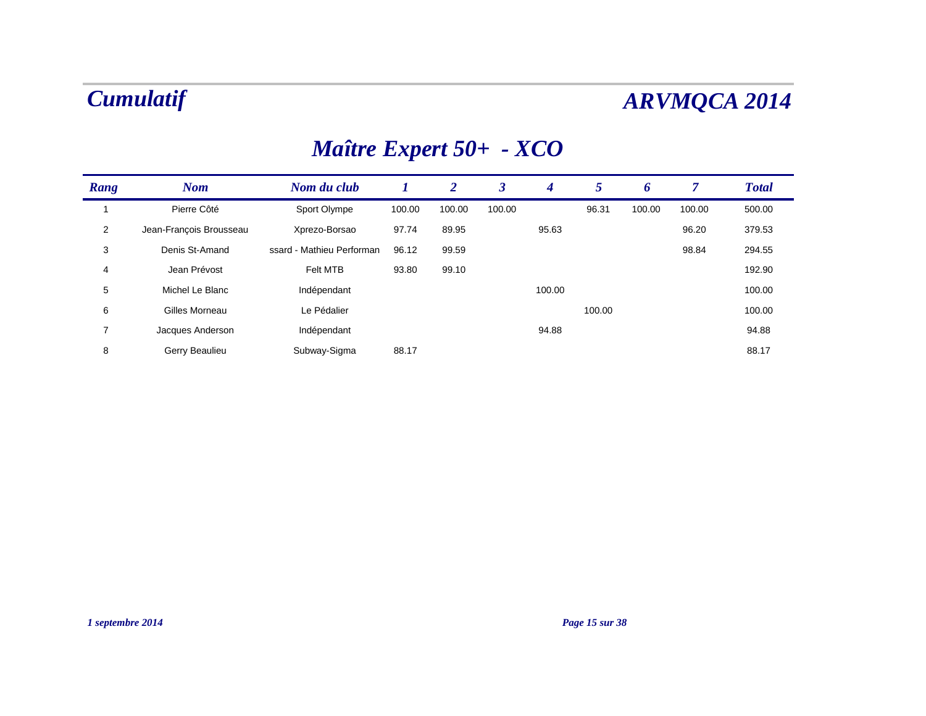| Rang           | <b>Nom</b>              | Nom du club               |        | $\boldsymbol{2}$ | 3      | 4      | 5      | 6      | 7      | <b>Total</b> |
|----------------|-------------------------|---------------------------|--------|------------------|--------|--------|--------|--------|--------|--------------|
|                | Pierre Côté             | Sport Olympe              | 100.00 | 100.00           | 100.00 |        | 96.31  | 100.00 | 100.00 | 500.00       |
| $\overline{2}$ | Jean-Francois Brousseau | Xprezo-Borsao             | 97.74  | 89.95            |        | 95.63  |        |        | 96.20  | 379.53       |
| 3              | Denis St-Amand          | ssard - Mathieu Performan | 96.12  | 99.59            |        |        |        |        | 98.84  | 294.55       |
| 4              | Jean Prévost            | Felt MTB                  | 93.80  | 99.10            |        |        |        |        |        | 192.90       |
| 5              | Michel Le Blanc         | Indépendant               |        |                  |        | 100.00 |        |        |        | 100.00       |
| 6              | Gilles Morneau          | Le Pédalier               |        |                  |        |        | 100.00 |        |        | 100.00       |
| 7              | Jacques Anderson        | Indépendant               |        |                  |        | 94.88  |        |        |        | 94.88        |
| 8              | Gerry Beaulieu          | Subway-Sigma              | 88.17  |                  |        |        |        |        |        | 88.17        |

## *Maître Expert 50+ - XCO*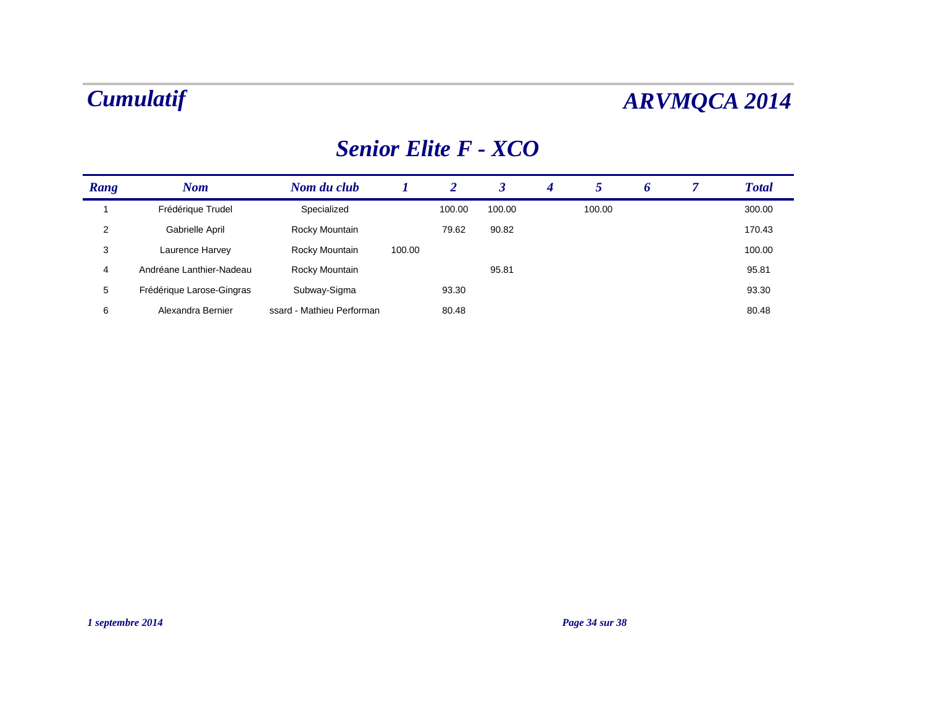### *Senior Elite F - XCO*

| Rang | <b>Nom</b>                | Nom du club               |        | 2      |        | $\boldsymbol{4}$ |        | O | <b>Total</b> |
|------|---------------------------|---------------------------|--------|--------|--------|------------------|--------|---|--------------|
|      | Frédérique Trudel         | Specialized               |        | 100.00 | 100.00 |                  | 100.00 |   | 300.00       |
| 2    | Gabrielle April           | Rocky Mountain            |        | 79.62  | 90.82  |                  |        |   | 170.43       |
| 3    | Laurence Harvey           | Rocky Mountain            | 100.00 |        |        |                  |        |   | 100.00       |
| 4    | Andréane Lanthier-Nadeau  | Rocky Mountain            |        |        | 95.81  |                  |        |   | 95.81        |
| 5    | Frédérique Larose-Gingras | Subway-Sigma              |        | 93.30  |        |                  |        |   | 93.30        |
| 6    | Alexandra Bernier         | ssard - Mathieu Performan |        | 80.48  |        |                  |        |   | 80.48        |